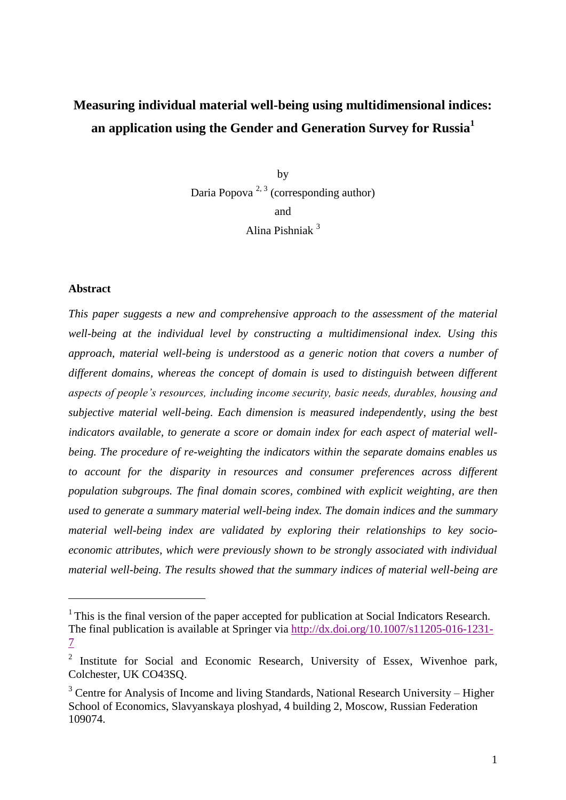# **Measuring individual material well-being using multidimensional indices: an application using the Gender and Generation Survey for Russia<sup>1</sup>**

by Daria Popova<sup>2, 3</sup> (corresponding author) and Alina Pishniak <sup>3</sup>

#### **Abstract**

1

*This paper suggests a new and comprehensive approach to the assessment of the material well-being at the individual level by constructing a multidimensional index. Using this approach, material well-being is understood as a generic notion that covers a number of different domains, whereas the concept of domain is used to distinguish between different aspects of people's resources, including income security, basic needs, durables, housing and subjective material well-being. Each dimension is measured independently, using the best indicators available, to generate a score or domain index for each aspect of material wellbeing. The procedure of re-weighting the indicators within the separate domains enables us to account for the disparity in resources and consumer preferences across different population subgroups. The final domain scores, combined with explicit weighting, are then used to generate a summary material well-being index. The domain indices and the summary material well-being index are validated by exploring their relationships to key socioeconomic attributes, which were previously shown to be strongly associated with individual material well-being. The results showed that the summary indices of material well-being are* 

<sup>&</sup>lt;sup>1</sup> This is the final version of the paper accepted for publication at Social Indicators Research. The final publication is available at Springer via [http://dx.doi.org/10.1007/s11205-016-1231-](http://dx.doi.org/10.1007/s11205-016-1231-7) [7](http://dx.doi.org/10.1007/s11205-016-1231-7)

<sup>&</sup>lt;sup>2</sup> Institute for Social and Economic Research, University of Essex, Wivenhoe park, Colchester, UK CO43SQ.

 $3$  Centre for Analysis of Income and living Standards, National Research University – Higher School of Economics, Slavyanskaya ploshyad, 4 building 2, Moscow, Russian Federation 109074.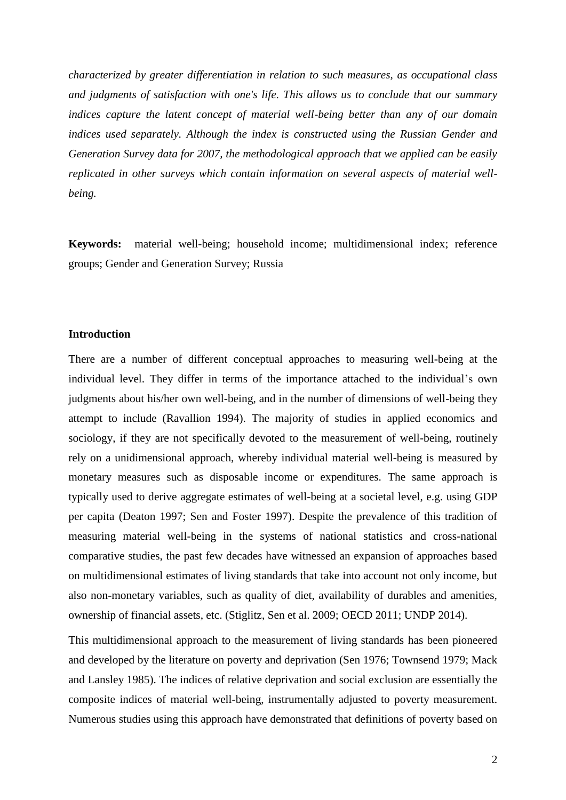*characterized by greater differentiation in relation to such measures, as occupational class and judgments of satisfaction with one's life. This allows us to conclude that our summary indices capture the latent concept of material well-being better than any of our domain indices used separately. Although the index is constructed using the Russian Gender and Generation Survey data for 2007, the methodological approach that we applied can be easily replicated in other surveys which contain information on several aspects of material wellbeing.*

**Keywords:** material well-being; household income; multidimensional index; reference groups; Gender and Generation Survey; Russia

#### **Introduction**

There are a number of different conceptual approaches to measuring well-being at the individual level. They differ in terms of the importance attached to the individual's own judgments about his/her own well-being, and in the number of dimensions of well-being they attempt to include [\(Ravallion 1994\)](#page-29-0). The majority of studies in applied economics and sociology, if they are not specifically devoted to the measurement of well-being, routinely rely on a unidimensional approach, whereby individual material well-being is measured by monetary measures such as disposable income or expenditures. The same approach is typically used to derive aggregate estimates of well-being at a societal level, e.g. using GDP per capita [\(Deaton 1997;](#page-28-0) [Sen and Foster 1997\)](#page-29-1). Despite the prevalence of this tradition of measuring material well-being in the systems of national statistics and cross-national comparative studies, the past few decades have witnessed an expansion of approaches based on multidimensional estimates of living standards that take into account not only income, but also non-monetary variables, such as quality of diet, availability of durables and amenities, ownership of financial assets, etc. [\(Stiglitz, Sen et al. 2009;](#page-29-2) [OECD 2011;](#page-28-1) [UNDP 2014\)](#page-29-3).

This multidimensional approach to the measurement of living standards has been pioneered and developed by the literature on poverty and deprivation [\(Sen 1976;](#page-29-4) [Townsend 1979;](#page-29-5) [Mack](#page-28-2)  [and Lansley 1985\)](#page-28-2). The indices of relative deprivation and social exclusion are essentially the composite indices of material well-being, instrumentally adjusted to poverty measurement. Numerous studies using this approach have demonstrated that definitions of poverty based on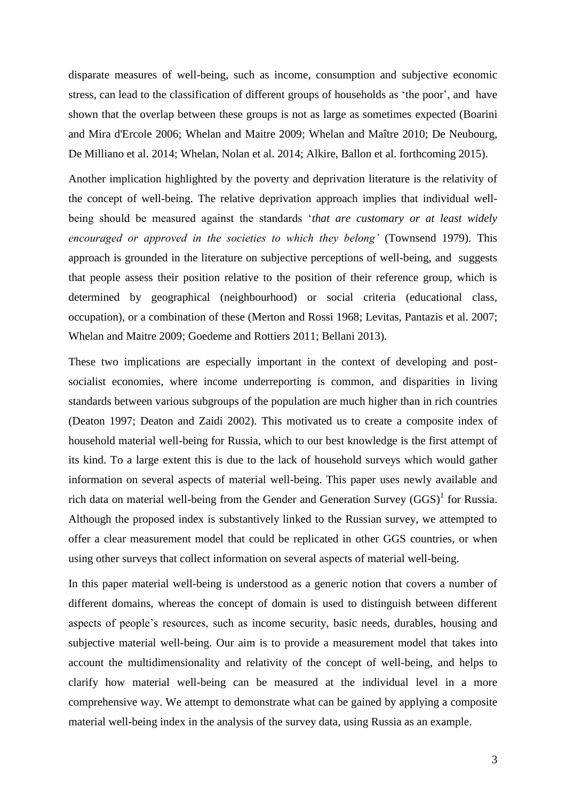disparate measures of well-being, such as income, consumption and subjective economic stress, can lead to the classification of different groups of households as 'the poor', and have shown that the overlap between these groups is not as large as sometimes expected [\(Boarini](#page-28-3)  [and Mira d'Ercole 2006;](#page-28-3) [Whelan and Maitre 2009;](#page-29-6) [Whelan and Maître 2010;](#page-29-7) [De Neubourg,](#page-28-4)  [De Milliano et al. 2014;](#page-28-4) [Whelan, Nolan et al. 2014;](#page-29-8) [Alkire, Ballon et al. forthcoming 2015\)](#page-28-5).

Another implication highlighted by the poverty and deprivation literature is the relativity of the concept of well-being. The relative deprivation approach implies that individual wellbeing should be measured against the standards '*that are customary or at least widely encouraged or approved in the societies to which they belong'* [\(Townsend 1979\)](#page-29-5). This approach is grounded in the literature on subjective perceptions of well-being, and suggests that people assess their position relative to the position of their reference group, which is determined by geographical (neighbourhood) or social criteria (educational class, occupation), or a combination of these [\(Merton and Rossi 1968;](#page-28-6) [Levitas, Pantazis](#page-28-7) et al. 2007; [Whelan and Maitre 2009;](#page-29-6) [Goedeme and Rottiers 2011;](#page-28-8) [Bellani 2013\)](#page-28-9).

These two implications are especially important in the context of developing and postsocialist economies, where income underreporting is common, and disparities in living standards between various subgroups of the population are much higher than in rich countries [\(Deaton 1997;](#page-28-0) [Deaton and Zaidi 2002\)](#page-28-10). This motivated us to create a composite index of household material well-being for Russia, which to our best knowledge is the first attempt of its kind. To a large extent this is due to the lack of household surveys which would gather information on several aspects of material well-being. This paper uses newly available and rich data on material well-being from the Gender and Generation Survey  $(GGS)^{1}$  for Russia. Although the proposed index is substantively linked to the Russian survey, we attempted to offer a clear measurement model that could be replicated in other GGS countries, or when using other surveys that collect information on several aspects of material well-being.

In this paper material well-being is understood as a generic notion that covers a number of different domains, whereas the concept of domain is used to distinguish between different aspects of people's resources, such as income security, basic needs, durables, housing and subjective material well-being. Our aim is to provide a measurement model that takes into account the multidimensionality and relativity of the concept of well-being, and helps to clarify how material well-being can be measured at the individual level in a more comprehensive way. We attempt to demonstrate what can be gained by applying a composite material well-being index in the analysis of the survey data, using Russia as an example.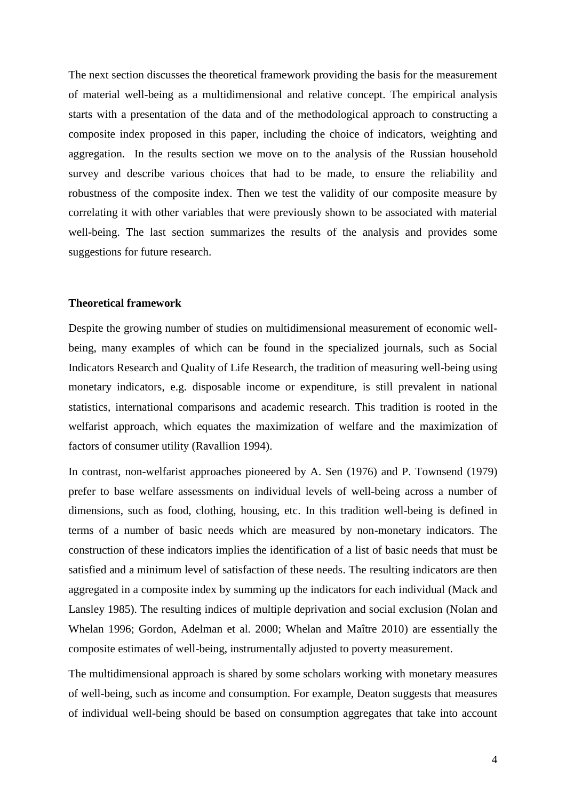The next section discusses the theoretical framework providing the basis for the measurement of material well-being as a multidimensional and relative concept. The empirical analysis starts with a presentation of the data and of the methodological approach to constructing a composite index proposed in this paper, including the choice of indicators, weighting and aggregation. In the results section we move on to the analysis of the Russian household survey and describe various choices that had to be made, to ensure the reliability and robustness of the composite index. Then we test the validity of our composite measure by correlating it with other variables that were previously shown to be associated with material well-being. The last section summarizes the results of the analysis and provides some suggestions for future research.

#### **Theoretical framework**

Despite the growing number of studies on multidimensional measurement of economic wellbeing, many examples of which can be found in the specialized journals, such as Social Indicators Research and Quality of Life Research, the tradition of measuring well-being using monetary indicators, e.g. disposable income or expenditure, is still prevalent in national statistics, international comparisons and academic research. This tradition is rooted in the welfarist approach, which equates the maximization of welfare and the maximization of factors of consumer utility [\(Ravallion 1994\)](#page-29-0).

In contrast, non-welfarist approaches pioneered by A. Sen [\(1976\)](#page-29-4) and P. Townsend [\(1979\)](#page-29-5) prefer to base welfare assessments on individual levels of well-being across a number of dimensions, such as food, clothing, housing, etc. In this tradition well-being is defined in terms of a number of basic needs which are measured by non-monetary indicators. The construction of these indicators implies the identification of a list of basic needs that must be satisfied and a minimum level of satisfaction of these needs. The resulting indicators are then aggregated in a composite index by summing up the indicators for each individual [\(Mack and](#page-28-2)  [Lansley 1985\)](#page-28-2). The resulting indices of multiple deprivation and social exclusion [\(Nolan and](#page-28-11)  [Whelan 1996;](#page-28-11) [Gordon, Adelman et al. 2000;](#page-28-12) [Whelan and Maître 2010\)](#page-29-7) are essentially the composite estimates of well-being, instrumentally adjusted to poverty measurement.

The multidimensional approach is shared by some scholars working with monetary measures of well-being, such as income and consumption. For example, Deaton suggests that measures of individual well-being should be based on consumption aggregates that take into account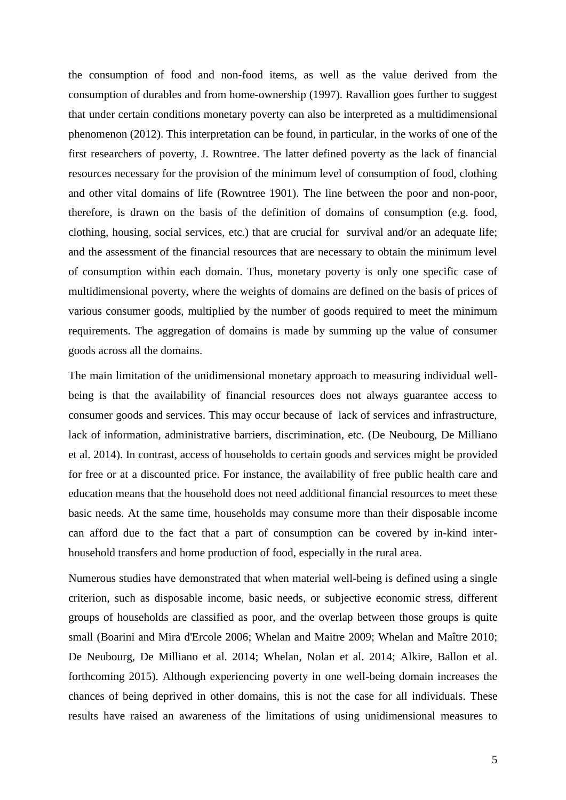the consumption of food and non-food items, as well as the value derived from the consumption of durables and from home-ownership [\(1997\)](#page-28-0). Ravallion goes further to suggest that under certain conditions monetary poverty can also be interpreted as a multidimensional phenomenon [\(2012\)](#page-29-9). This interpretation can be found, in particular, in the works of one of the first researchers of poverty, J. Rowntree. The latter defined poverty as the lack of financial resources necessary for the provision of the minimum level of consumption of food, clothing and other vital domains of life [\(Rowntree 1901\)](#page-29-10). The line between the poor and non-poor, therefore, is drawn on the basis of the definition of domains of consumption (e.g. food, clothing, housing, social services, etc.) that are crucial for survival and/or an adequate life; and the assessment of the financial resources that are necessary to obtain the minimum level of consumption within each domain. Thus, monetary poverty is only one specific case of multidimensional poverty, where the weights of domains are defined on the basis of prices of various consumer goods, multiplied by the number of goods required to meet the minimum requirements. The aggregation of domains is made by summing up the value of consumer goods across all the domains.

The main limitation of the unidimensional monetary approach to measuring individual wellbeing is that the availability of financial resources does not always guarantee access to consumer goods and services. This may occur because of lack of services and infrastructure, lack of information, administrative barriers, discrimination, etc. [\(De Neubourg, De Milliano](#page-28-4)  [et al. 2014\)](#page-28-4). In contrast, access of households to certain goods and services might be provided for free or at a discounted price. For instance, the availability of free public health care and education means that the household does not need additional financial resources to meet these basic needs. At the same time, households may consume more than their disposable income can afford due to the fact that a part of consumption can be covered by in-kind interhousehold transfers and home production of food, especially in the rural area.

Numerous studies have demonstrated that when material well-being is defined using a single criterion, such as disposable income, basic needs, or subjective economic stress, different groups of households are classified as poor, and the overlap between those groups is quite small [\(Boarini and Mira d'Ercole 2006;](#page-28-3) [Whelan and Maitre](#page-29-6) 2009; [Whelan and Maître 2010;](#page-29-7) [De Neubourg, De Milliano et al. 2014;](#page-28-4) [Whelan, Nolan et al. 2014;](#page-29-8) [Alkire, Ballon et al.](#page-28-5)  [forthcoming 2015\)](#page-28-5). Although experiencing poverty in one well-being domain increases the chances of being deprived in other domains, this is not the case for all individuals. These results have raised an awareness of the limitations of using unidimensional measures to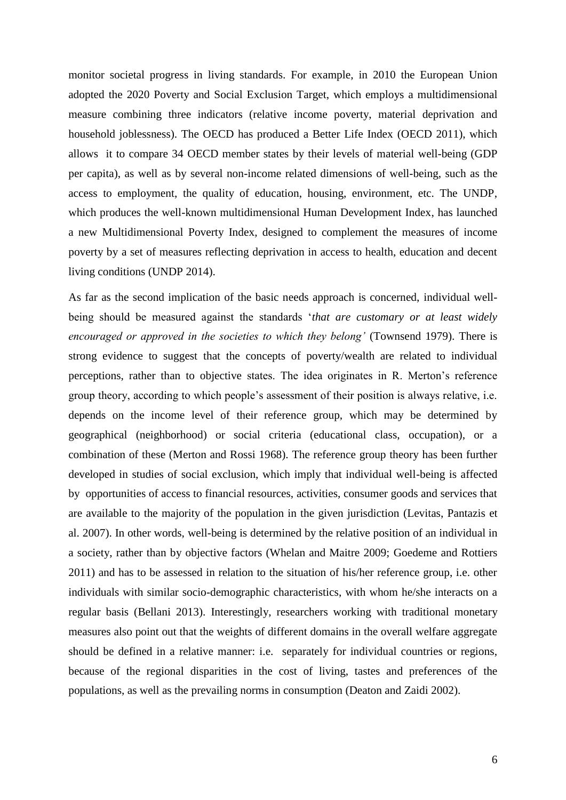monitor societal progress in living standards. For example, in 2010 the European Union adopted the 2020 Poverty and Social Exclusion Target, which employs a multidimensional measure combining three indicators (relative income poverty, material deprivation and household joblessness). The OECD has produced a Better Life Index [\(OECD 2011\)](#page-28-1), which allows it to compare 34 OECD member states by their levels of material well-being (GDP per capita), as well as by several non-income related dimensions of well-being, such as the access to employment, the quality of education, housing, environment, etc. The UNDP, which produces the well-known multidimensional Human Development Index, has launched a new Multidimensional Poverty Index, designed to complement the measures of income poverty by a set of measures reflecting deprivation in access to health, education and decent living conditions [\(UNDP 2014\)](#page-29-3).

As far as the second implication of the basic needs approach is concerned, individual wellbeing should be measured against the standards '*that are customary or at least widely encouraged or approved in the societies to which they belong'* [\(Townsend 1979\)](#page-29-5). There is strong evidence to suggest that the concepts of poverty/wealth are related to individual perceptions, rather than to objective states. The idea originates in R. Merton's reference group theory, according to which people's assessment of their position is always relative, i.e. depends on the income level of their reference group, which may be determined by geographical (neighborhood) or social criteria (educational class, occupation), or a combination of these [\(Merton and Rossi 1968\)](#page-28-6). The reference group theory has been further developed in studies of social exclusion, which imply that individual well-being is affected by opportunities of access to financial resources, activities, consumer goods and services that are available to the majority of the population in the given jurisdiction [\(Levitas, Pantazis et](#page-28-7)  [al. 2007\)](#page-28-7). In other words, well-being is determined by the relative position of an individual in a society, rather than by objective factors [\(Whelan and Maitre 2009;](#page-29-6) [Goedeme and Rottiers](#page-28-8)  [2011\)](#page-28-8) and has to be assessed in relation to the situation of his/her reference group, i.e. other individuals with similar socio-demographic characteristics, with whom he/she interacts on a regular basis [\(Bellani 2013\)](#page-28-9). Interestingly, researchers working with traditional monetary measures also point out that the weights of different domains in the overall welfare aggregate should be defined in a relative manner: i.e. separately for individual countries or regions, because of the regional disparities in the cost of living, tastes and preferences of the populations, as well as the prevailing norms in consumption [\(Deaton and Zaidi 2002\)](#page-28-10).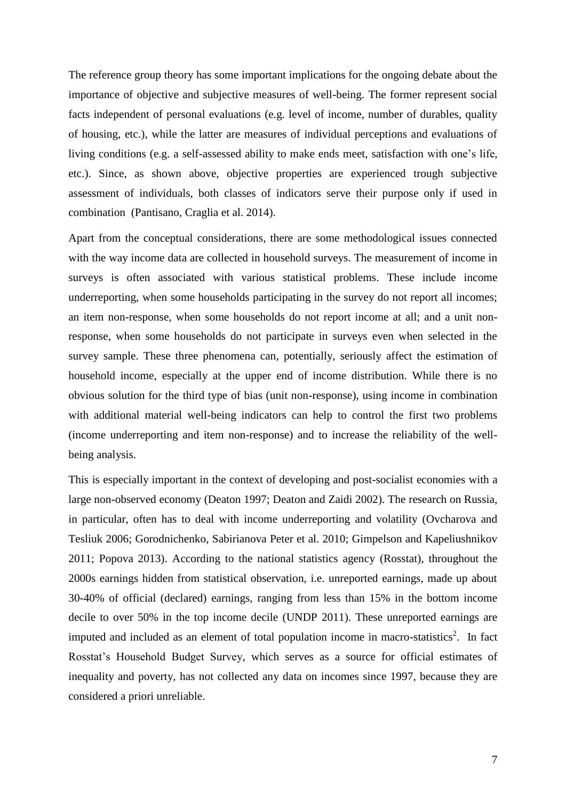The reference group theory has some important implications for the ongoing debate about the importance of objective and subjective measures of well-being. The former represent social facts independent of personal evaluations (e.g. level of income, number of durables, quality of housing, etc.), while the latter are measures of individual perceptions and evaluations of living conditions (e.g. a self-assessed ability to make ends meet, satisfaction with one's life, etc.). Since, as shown above, objective properties are experienced trough subjective assessment of individuals, both classes of indicators serve their purpose only if used in combination [\(Pantisano, Craglia et al. 2014\)](#page-29-11).

Apart from the conceptual considerations, there are some methodological issues connected with the way income data are collected in household surveys. The measurement of income in surveys is often associated with various statistical problems. These include income underreporting, when some households participating in the survey do not report all incomes; an item non-response, when some households do not report income at all; and a unit nonresponse, when some households do not participate in surveys even when selected in the survey sample. These three phenomena can, potentially, seriously affect the estimation of household income, especially at the upper end of income distribution. While there is no obvious solution for the third type of bias (unit non-response), using income in combination with additional material well-being indicators can help to control the first two problems (income underreporting and item non-response) and to increase the reliability of the wellbeing analysis.

This is especially important in the context of developing and post-socialist economies with a large non-observed economy [\(Deaton 1997;](#page-28-0) [Deaton and Zaidi 2002\)](#page-28-10). The research on Russia, in particular, often has to deal with income underreporting and volatility [\(Ovcharova and](#page-29-12)  [Tesliuk 2006;](#page-29-12) [Gorodnichenko, Sabirianova Peter et al. 2010;](#page-28-13) [Gimpelson and Kapeliushnikov](#page-28-14)  [2011;](#page-28-14) [Popova 2013\)](#page-29-13). According to the national statistics agency (Rosstat), throughout the 2000s earnings hidden from statistical observation, i.e. unreported earnings, made up about 30-40% of official (declared) earnings, ranging from less than 15% in the bottom income decile to over 50% in the top income decile [\(UNDP 2011\)](#page-29-14). These unreported earnings are imputed and included as an element of total population income in macro-statistics<sup>2</sup>. In fact Rosstat's Household Budget Survey, which serves as a source for official estimates of inequality and poverty, has not collected any data on incomes since 1997, because they are considered a priori unreliable.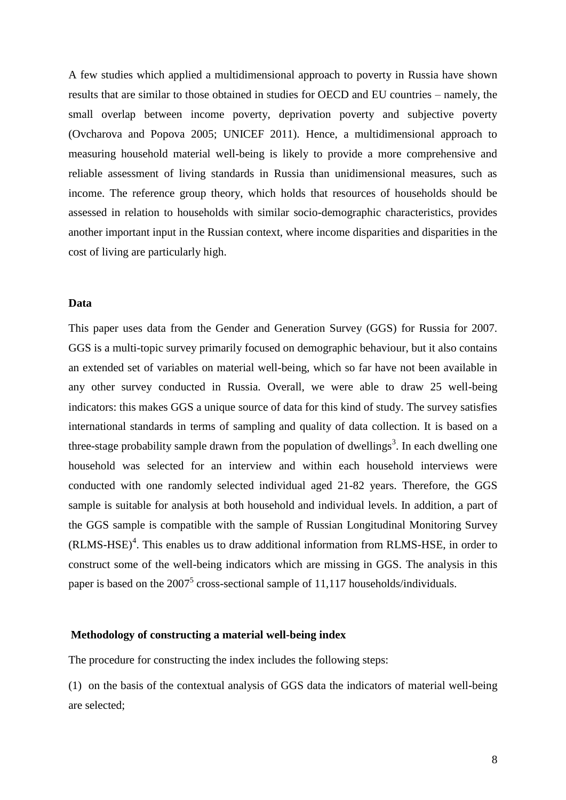A few studies which applied a multidimensional approach to poverty in Russia have shown results that are similar to those obtained in studies for OECD and EU countries – namely, the small overlap between income poverty, deprivation poverty and subjective poverty (Ovcharova [and Popova 2005;](#page-28-15) [UNICEF 2011\)](#page-29-15). Hence, a multidimensional approach to measuring household material well-being is likely to provide a more comprehensive and reliable assessment of living standards in Russia than unidimensional measures, such as income. The reference group theory, which holds that resources of households should be assessed in relation to households with similar socio-demographic characteristics, provides another important input in the Russian context, where income disparities and disparities in the cost of living are particularly high.

#### **Data**

This paper uses data from the Gender and Generation Survey (GGS) for Russia for 2007. GGS is a multi-topic survey primarily focused on demographic behaviour, but it also contains an extended set of variables on material well-being, which so far have not been available in any other survey conducted in Russia. Overall, we were able to draw 25 well-being indicators: this makes GGS a unique source of data for this kind of study. The survey satisfies international standards in terms of sampling and quality of data collection. It is based on a three-stage probability sample drawn from the population of dwellings<sup>3</sup>. In each dwelling one household was selected for an interview and within each household interviews were conducted with one randomly selected individual aged 21-82 years. Therefore, the GGS sample is suitable for analysis at both household and individual levels. In addition, a part of the GGS sample is compatible with the sample of Russian Longitudinal Monitoring Survey (RLMS-HSE) 4 . This enables us to draw additional information from RLMS-HSE, in order to construct some of the well-being indicators which are missing in GGS. The analysis in this paper is based on the  $2007^5$  cross-sectional sample of 11,117 households/individuals.

#### **Methodology of constructing a material well-being index**

The procedure for constructing the index includes the following steps:

(1) on the basis of the contextual analysis of GGS data the indicators of material well-being are selected;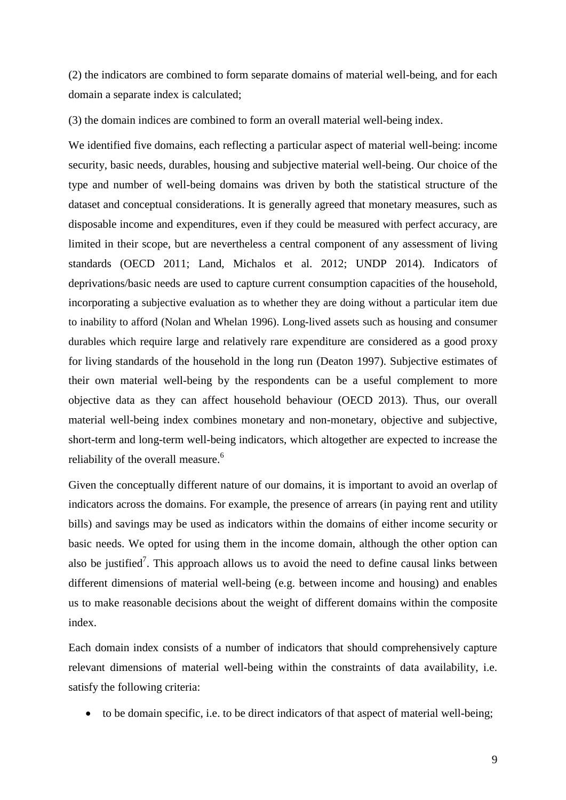(2) the indicators are combined to form separate domains of material well-being, and for each domain a separate index is calculated;

(3) the domain indices are combined to form an overall material well-being index.

We identified five domains, each reflecting a particular aspect of material well-being: income security, basic needs, durables, housing and subjective material well-being. Our choice of the type and number of well-being domains was driven by both the statistical structure of the dataset and conceptual considerations. It is generally agreed that monetary measures, such as disposable income and expenditures, even if they could be measured with perfect accuracy, are limited in their scope, but are nevertheless a central component of any assessment of living standards [\(OECD 2011;](#page-28-1) [Land, Michalos et al. 2012;](#page-28-16) [UNDP 2014\)](#page-29-3). Indicators of deprivations/basic needs are used to capture current consumption capacities of the household, incorporating a subjective evaluation as to whether they are doing without a particular item due to inability to afford [\(Nolan and Whelan 1996\)](#page-28-11). Long-lived assets such as housing and consumer durables which require large and relatively rare expenditure are considered as a good proxy for living standards of the household in the long run [\(Deaton 1997\)](#page-28-0). Subjective estimates of their own material well-being by the respondents can be a useful complement to more objective data as they can affect household behaviour [\(OECD 2013\)](#page-28-17). Thus, our overall material well-being index combines monetary and non-monetary, objective and subjective, short-term and long-term well-being indicators, which altogether are expected to increase the reliability of the overall measure.<sup>6</sup>

Given the conceptually different nature of our domains, it is important to avoid an overlap of indicators across the domains. For example, the presence of arrears (in paying rent and utility bills) and savings may be used as indicators within the domains of either income security or basic needs. We opted for using them in the income domain, although the other option can also be justified<sup>7</sup>. This approach allows us to avoid the need to define causal links between different dimensions of material well-being (e.g. between income and housing) and enables us to make reasonable decisions about the weight of different domains within the composite index.

Each domain index consists of a number of indicators that should comprehensively capture relevant dimensions of material well-being within the constraints of data availability, i.e. satisfy the following criteria:

to be domain specific, i.e. to be direct indicators of that aspect of material well-being;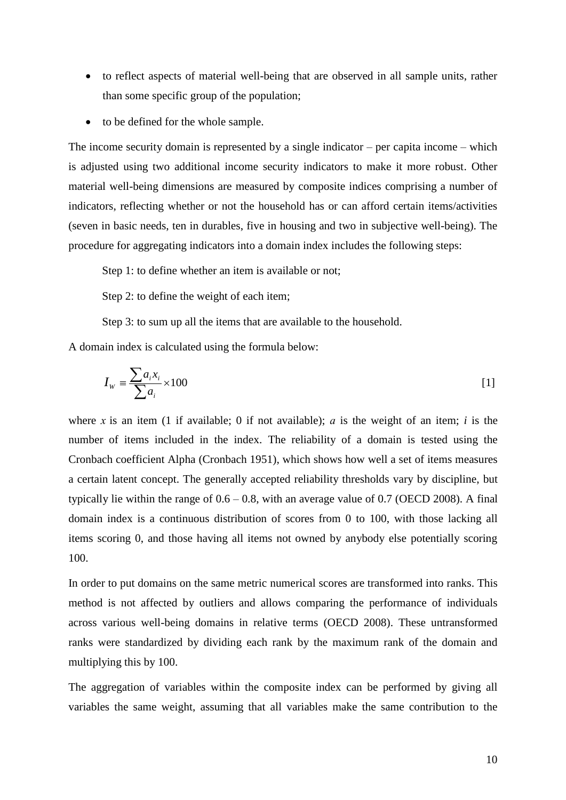- to reflect aspects of material well-being that are observed in all sample units, rather than some specific group of the population;
- to be defined for the whole sample.

The income security domain is represented by a single indicator – per capita income – which is adjusted using two additional income security indicators to make it more robust. Other material well-being dimensions are measured by composite indices comprising a number of indicators, reflecting whether or not the household has or can afford certain items/activities (seven in basic needs, ten in durables, five in housing and two in subjective well-being). The procedure for aggregating indicators into a domain index includes the following steps:

Step 1: to define whether an item is available or not;

Step 2: to define the weight of each item;

Step 3: to sum up all the items that are available to the household.

A domain index is calculated using the formula below:

$$
I_{w} = \frac{\sum a_{i} x_{i}}{\sum a_{i}} \times 100
$$
 [1]

where *х* is an item (1 if available; 0 if not available); *а* is the weight of an item; *i* is the number of items included in the index. The reliability of a domain is tested using the Cronbach coefficient Alpha [\(Cronbach 1951\)](#page-28-18), which shows how well a set of items measures a certain latent concept. The generally accepted reliability thresholds vary by discipline, but typically lie within the range of  $0.6 - 0.8$ , with an average value of 0.7 [\(OECD 2008\)](#page-28-19). A final domain index is a continuous distribution of scores from 0 to 100, with those lacking all items scoring 0, and those having all items not owned by anybody else potentially scoring 100.

In order to put domains on the same metric numerical scores are transformed into ranks. This method is not affected by outliers and allows comparing the performance of individuals across various well-being domains in relative terms [\(OECD 2008\)](#page-28-19). These untransformed ranks were standardized by dividing each rank by the maximum rank of the domain and multiplying this by 100.

The aggregation of variables within the composite index can be performed by giving all variables the same weight, assuming that all variables make the same contribution to the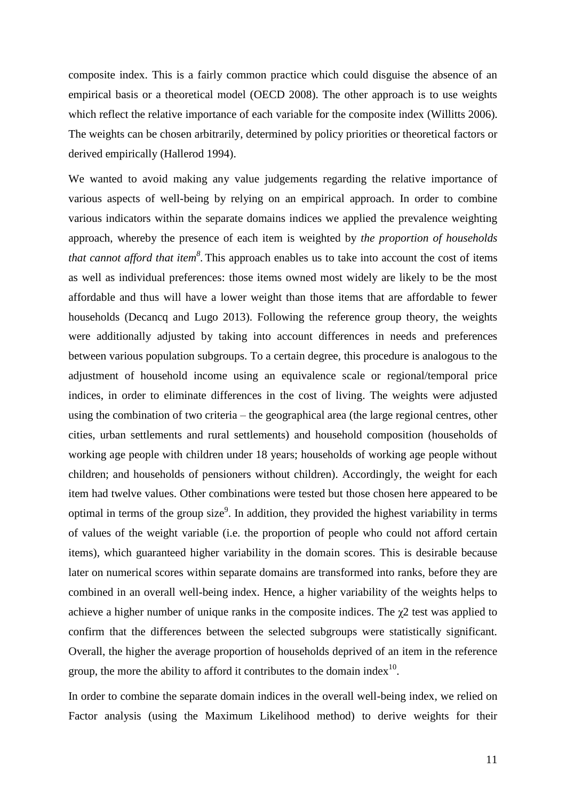composite index. This is a fairly common practice which could disguise the absence of an empirical basis or a theoretical model [\(OECD 2008\)](#page-28-19). The other approach is to use weights which reflect the relative importance of each variable for the composite index [\(Willitts 2006\)](#page-29-16). The weights can be chosen arbitrarily, determined by policy priorities or theoretical factors or derived empirically [\(Hallerod 1994\)](#page-28-20).

We wanted to avoid making any value judgements regarding the relative importance of various aspects of well-being by relying on an empirical approach. In order to combine various indicators within the separate domains indices we applied the prevalence weighting approach, whereby the presence of each item is weighted by *the proportion of households that cannot afford that item<sup>8</sup> .* This approach enables us to take into account the cost of items as well as individual preferences: those items owned most widely are likely to be the most affordable and thus will have a lower weight than those items that are affordable to fewer households [\(Decancq and Lugo 2013\)](#page-28-21). Following the reference group theory, the weights were additionally adjusted by taking into account differences in needs and preferences between various population subgroups. To a certain degree, this procedure is analogous to the adjustment of household income using an equivalence scale or regional/temporal price indices, in order to eliminate differences in the cost of living. The weights were adjusted using the combination of two criteria – the geographical area (the large regional centres, other cities, urban settlements and rural settlements) and household composition (households of working age people with children under 18 years; households of working age people without children; and households of pensioners without children). Accordingly, the weight for each item had twelve values. Other combinations were tested but those chosen here appeared to be optimal in terms of the group size<sup>9</sup>. In addition, they provided the highest variability in terms of values of the weight variable (i.e. the proportion of people who could not afford certain items), which guaranteed higher variability in the domain scores. This is desirable because later on numerical scores within separate domains are transformed into ranks, before they are combined in an overall well-being index. Hence, a higher variability of the weights helps to achieve a higher number of unique ranks in the composite indices. The  $\chi$ 2 test was applied to confirm that the differences between the selected subgroups were statistically significant. Overall, the higher the average proportion of households deprived of an item in the reference group, the more the ability to afford it contributes to the domain index $10$ .

In order to combine the separate domain indices in the overall well-being index, we relied on Factor analysis (using the Maximum Likelihood method) to derive weights for their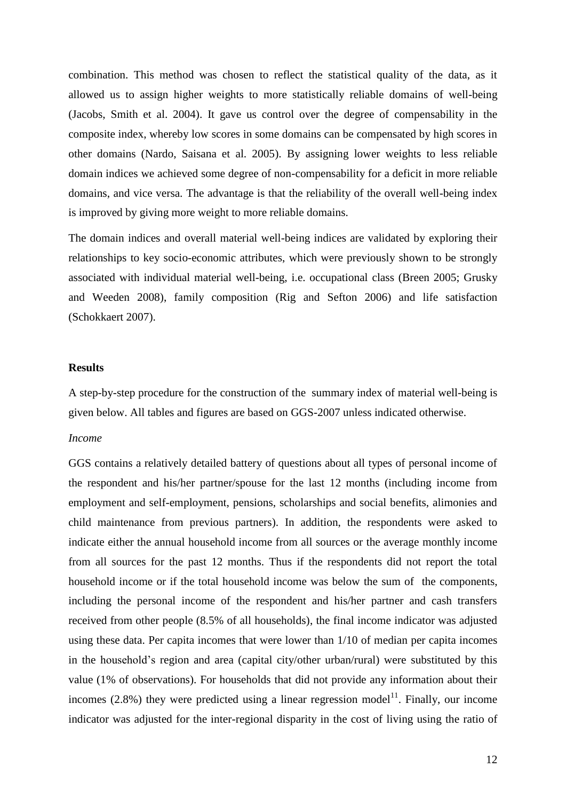combination. This method was chosen to reflect the statistical quality of the data, as it allowed us to assign higher weights to more statistically reliable domains of well-being [\(Jacobs, Smith et al. 2004\)](#page-28-22). It gave us control over the degree of compensability in the composite index, whereby low scores in some domains can be compensated by high scores in other domains [\(Nardo, Saisana et al. 2005\)](#page-28-23). By assigning lower weights to less reliable domain indices we achieved some degree of non-compensability for a deficit in more reliable domains, and vice versa. The advantage is that the reliability of the overall well-being index is improved by giving more weight to more reliable domains.

The domain indices and overall material well-being indices are validated by exploring their relationships to key socio-economic attributes, which were previously shown to be strongly associated with individual material well-being, i.e. occupational class [\(Breen 2005;](#page-28-24) [Grusky](#page-28-25)  [and Weeden 2008\)](#page-28-25), family composition [\(Rig and Sefton 2006\)](#page-29-17) and life satisfaction [\(Schokkaert 2007\)](#page-29-18).

#### **Results**

A step-by-step procedure for the construction of the summary index of material well-being is given below. All tables and figures are based on GGS-2007 unless indicated otherwise.

#### *Income*

GGS contains a relatively detailed battery of questions about all types of personal income of the respondent and his/her partner/spouse for the last 12 months (including income from employment and self-employment, pensions, scholarships and social benefits, alimonies and child maintenance from previous partners). In addition, the respondents were asked to indicate either the annual household income from all sources or the average monthly income from all sources for the past 12 months. Thus if the respondents did not report the total household income or if the total household income was below the sum of the components, including the personal income of the respondent and his/her partner and cash transfers received from other people (8.5% of all households), the final income indicator was adjusted using these data. Per capita incomes that were lower than 1/10 of median per capita incomes in the household's region and area (capital city/other urban/rural) were substituted by this value (1% of observations). For households that did not provide any information about their incomes  $(2.8%)$  they were predicted using a linear regression model<sup>11</sup>. Finally, our income indicator was adjusted for the inter-regional disparity in the cost of living using the ratio of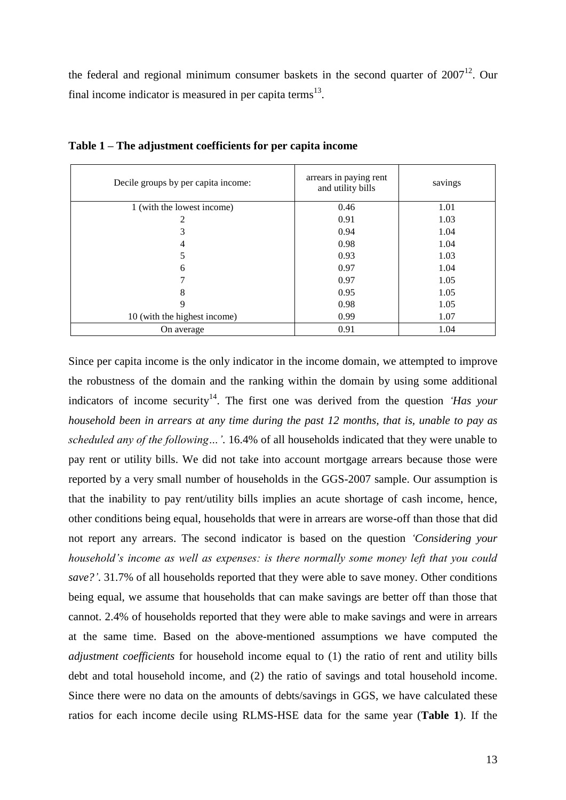the federal and regional minimum consumer baskets in the second quarter of  $2007<sup>12</sup>$ . Our final income indicator is measured in per capita terms<sup>13</sup>.

| Decile groups by per capita income: | arrears in paying rent<br>and utility bills | savings |
|-------------------------------------|---------------------------------------------|---------|
| 1 (with the lowest income)          | 0.46                                        | 1.01    |
|                                     | 0.91                                        | 1.03    |
| 3                                   | 0.94                                        | 1.04    |
| 4                                   | 0.98                                        | 1.04    |
| 5                                   | 0.93                                        | 1.03    |
| 6                                   | 0.97                                        | 1.04    |
|                                     | 0.97                                        | 1.05    |
| 8                                   | 0.95                                        | 1.05    |
| 9                                   | 0.98                                        | 1.05    |
| 10 (with the highest income)        | 0.99                                        | 1.07    |
| On average                          | 0.91                                        | 1.04    |

**Table 1 – The adjustment coefficients for per capita income** 

Since per capita income is the only indicator in the income domain, we attempted to improve the robustness of the domain and the ranking within the domain by using some additional indicators of income security<sup>14</sup>. The first one was derived from the question *'Has your household been in arrears at any time during the past 12 months, that is, unable to pay as scheduled any of the following…'*. 16.4% of all households indicated that they were unable to pay rent or utility bills. We did not take into account mortgage arrears because those were reported by a very small number of households in the GGS-2007 sample. Our assumption is that the inability to pay rent/utility bills implies an acute shortage of cash income, hence, other conditions being equal, households that were in arrears are worse-off than those that did not report any arrears. The second indicator is based on the question *'Considering your household's income as well as expenses: is there normally some money left that you could save?'*. 31.7% of all households reported that they were able to save money. Other conditions being equal, we assume that households that can make savings are better off than those that cannot. 2.4% of households reported that they were able to make savings and were in arrears at the same time. Based on the above-mentioned assumptions we have computed the *adjustment coefficients* for household income equal to (1) the ratio of rent and utility bills debt and total household income, and (2) the ratio of savings and total household income. Since there were no data on the amounts of debts/savings in GGS, we have calculated these ratios for each income decile using RLMS-HSE data for the same year (**Table 1**). If the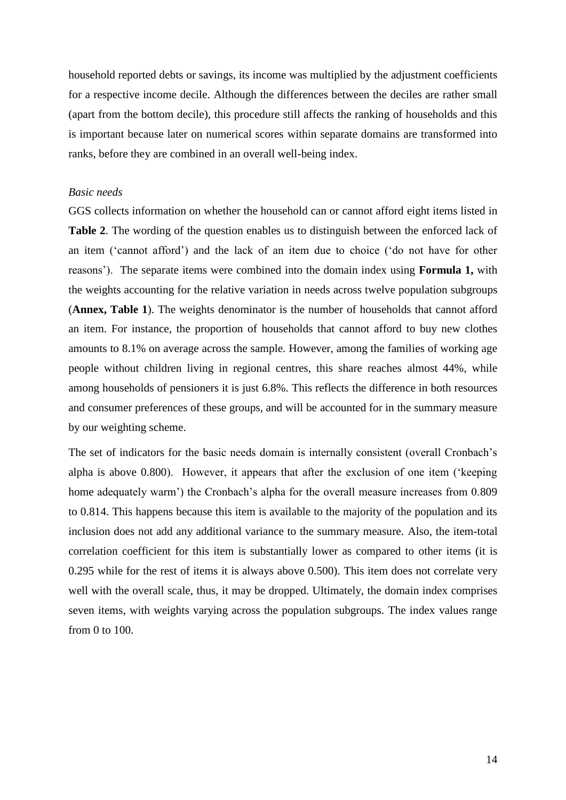household reported debts or savings, its income was multiplied by the adjustment coefficients for a respective income decile. Although the differences between the deciles are rather small (apart from the bottom decile), this procedure still affects the ranking of households and this is important because later on numerical scores within separate domains are transformed into ranks, before they are combined in an overall well-being index.

#### *Basic needs*

GGS collects information on whether the household can or cannot afford eight items listed in **Table 2**. The wording of the question enables us to distinguish between the enforced lack of an item ('cannot afford') and the lack of an item due to choice ('do not have for other reasons'). The separate items were combined into the domain index using **Formula 1,** with the weights accounting for the relative variation in needs across twelve population subgroups (**Annex, Table 1**). The weights denominator is the number of households that cannot afford an item. For instance, the proportion of households that cannot afford to buy new clothes amounts to 8.1% on average across the sample. However, among the families of working age people without children living in regional centres, this share reaches almost 44%, while among households of pensioners it is just 6.8%. This reflects the difference in both resources and consumer preferences of these groups, and will be accounted for in the summary measure by our weighting scheme.

The set of indicators for the basic needs domain is internally consistent (overall Cronbach's alpha is above 0.800). However, it appears that after the exclusion of one item ('keeping home adequately warm') the Cronbach's alpha for the overall measure increases from 0.809 to 0.814. This happens because this item is available to the majority of the population and its inclusion does not add any additional variance to the summary measure. Also, the item-total correlation coefficient for this item is substantially lower as compared to other items (it is 0.295 while for the rest of items it is always above 0.500). This item does not correlate very well with the overall scale, thus, it may be dropped. Ultimately, the domain index comprises seven items, with weights varying across the population subgroups. The index values range from 0 to 100.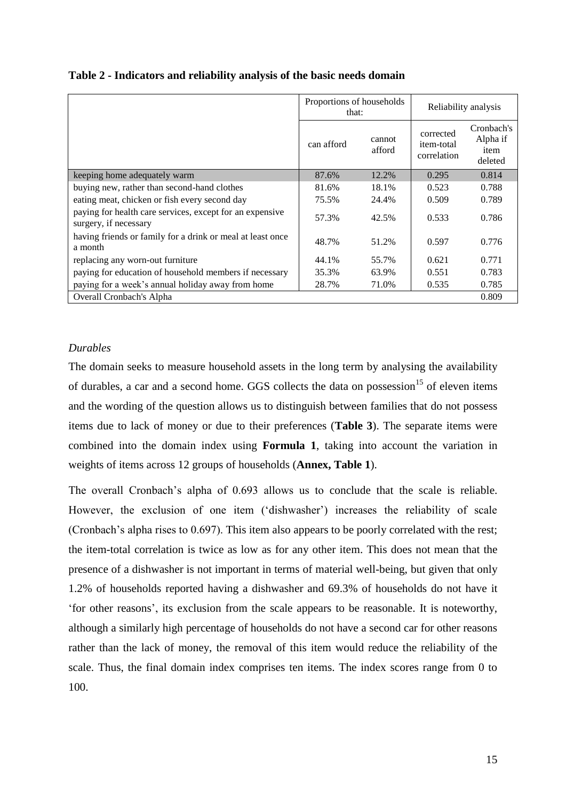|                                                                                   | Proportions of households<br>that: |                  | Reliability analysis                          |                                           |  |
|-----------------------------------------------------------------------------------|------------------------------------|------------------|-----------------------------------------------|-------------------------------------------|--|
|                                                                                   | can afford                         | cannot<br>afford | corrected<br><i>item-total</i><br>correlation | Cronbach's<br>Alpha if<br>item<br>deleted |  |
| keeping home adequately warm                                                      | 87.6%                              | 12.2%            | 0.295                                         | 0.814                                     |  |
| buying new, rather than second-hand clothes                                       | 81.6%                              | 18.1%            | 0.523                                         | 0.788                                     |  |
| eating meat, chicken or fish every second day                                     | 75.5%                              | 24.4%            | 0.509                                         | 0.789                                     |  |
| paying for health care services, except for an expensive<br>surgery, if necessary | 57.3%                              | 42.5%            | 0.533                                         | 0.786                                     |  |
| having friends or family for a drink or meal at least once<br>a month             | 48.7%                              | 51.2%            | 0.597                                         | 0.776                                     |  |
| replacing any worn-out furniture                                                  | 44.1%                              | 55.7%            | 0.621                                         | 0.771                                     |  |
| paying for education of household members if necessary                            | 35.3%                              | 63.9%            | 0.551                                         | 0.783                                     |  |
| paying for a week's annual holiday away from home                                 | 28.7%                              | 71.0%            | 0.535                                         | 0.785                                     |  |
| Overall Cronbach's Alpha                                                          |                                    |                  |                                               | 0.809                                     |  |

**Table 2 - Indicators and reliability analysis of the basic needs domain**

#### *Durables*

The domain seeks to measure household assets in the long term by analysing the availability of durables, a car and a second home. GGS collects the data on possession<sup>15</sup> of eleven items and the wording of the question allows us to distinguish between families that do not possess items due to lack of money or due to their preferences (**Table 3**). The separate items were combined into the domain index using **Formula 1**, taking into account the variation in weights of items across 12 groups of households (**Annex, Table 1**).

The overall Cronbach's alpha of 0.693 allows us to conclude that the scale is reliable. However, the exclusion of one item ('dishwasher') increases the reliability of scale (Cronbach's alpha rises to 0.697). This item also appears to be poorly correlated with the rest; the item-total correlation is twice as low as for any other item. This does not mean that the presence of a dishwasher is not important in terms of material well-being, but given that only 1.2% of households reported having a dishwasher and 69.3% of households do not have it 'for other reasons', its exclusion from the scale appears to be reasonable. It is noteworthy, although a similarly high percentage of households do not have a second car for other reasons rather than the lack of money, the removal of this item would reduce the reliability of the scale. Thus, the final domain index comprises ten items. The index scores range from 0 to 100.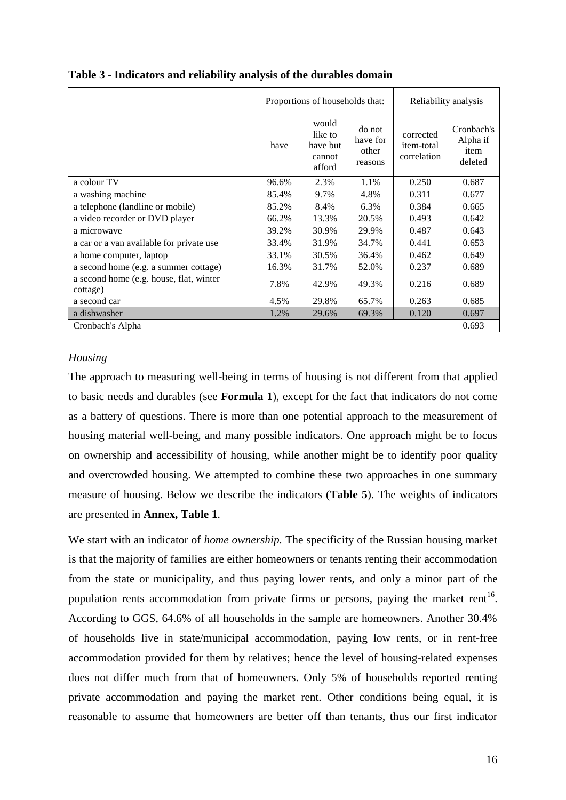|                                                     |       | Proportions of households that:                  | Reliability analysis                   |                                        |                                           |
|-----------------------------------------------------|-------|--------------------------------------------------|----------------------------------------|----------------------------------------|-------------------------------------------|
|                                                     | have  | would<br>like to<br>have but<br>cannot<br>afford | do not<br>have for<br>other<br>reasons | corrected<br>item-total<br>correlation | Cronbach's<br>Alpha if<br>item<br>deleted |
| a colour TV                                         | 96.6% | 2.3%                                             | 1.1%                                   | 0.250                                  | 0.687                                     |
| a washing machine                                   | 85.4% | 9.7%                                             | 4.8%                                   | 0.311                                  | 0.677                                     |
| a telephone (landline or mobile)                    | 85.2% | 8.4%                                             | 6.3%                                   | 0.384                                  | 0.665                                     |
| a video recorder or DVD player                      | 66.2% | 13.3%                                            | 20.5%                                  | 0.493                                  | 0.642                                     |
| a microwave                                         | 39.2% | 30.9%                                            | 29.9%                                  | 0.487                                  | 0.643                                     |
| a car or a van available for private use            | 33.4% | 31.9%                                            | 34.7%                                  | 0.441                                  | 0.653                                     |
| a home computer, laptop                             | 33.1% | 30.5%                                            | 36.4%                                  | 0.462                                  | 0.649                                     |
| a second home (e.g. a summer cottage)               | 16.3% | 31.7%                                            | 52.0%                                  | 0.237                                  | 0.689                                     |
| a second home (e.g. house, flat, winter<br>cottage) | 7.8%  | 42.9%                                            | 49.3%                                  | 0.216                                  | 0.689                                     |
| a second car                                        | 4.5%  | 29.8%                                            | 65.7%                                  | 0.263                                  | 0.685                                     |
| a dishwasher                                        | 1.2%  | 29.6%                                            | 69.3%                                  | 0.120                                  | 0.697                                     |
| Cronbach's Alpha                                    |       |                                                  |                                        |                                        | 0.693                                     |

**Table 3 - Indicators and reliability analysis of the durables domain**

#### *Housing*

The approach to measuring well-being in terms of housing is not different from that applied to basic needs and durables (see **Formula 1**), except for the fact that indicators do not come as a battery of questions. There is more than one potential approach to the measurement of housing material well-being, and many possible indicators. One approach might be to focus on ownership and accessibility of housing, while another might be to identify poor quality and overcrowded housing. We attempted to combine these two approaches in one summary measure of housing. Below we describe the indicators (**Table 5**). The weights of indicators are presented in **Annex, Table 1**.

We start with an indicator of *home ownership*. The specificity of the Russian housing market is that the majority of families are either homeowners or tenants renting their accommodation from the state or municipality, and thus paying lower rents, and only a minor part of the population rents accommodation from private firms or persons, paying the market rent<sup>16</sup>. According to GGS, 64.6% of all households in the sample are homeowners. Another 30.4% of households live in state/municipal accommodation, paying low rents, or in rent-free accommodation provided for them by relatives; hence the level of housing-related expenses does not differ much from that of homeowners. Only 5% of households reported renting private accommodation and paying the market rent. Other conditions being equal, it is reasonable to assume that homeowners are better off than tenants, thus our first indicator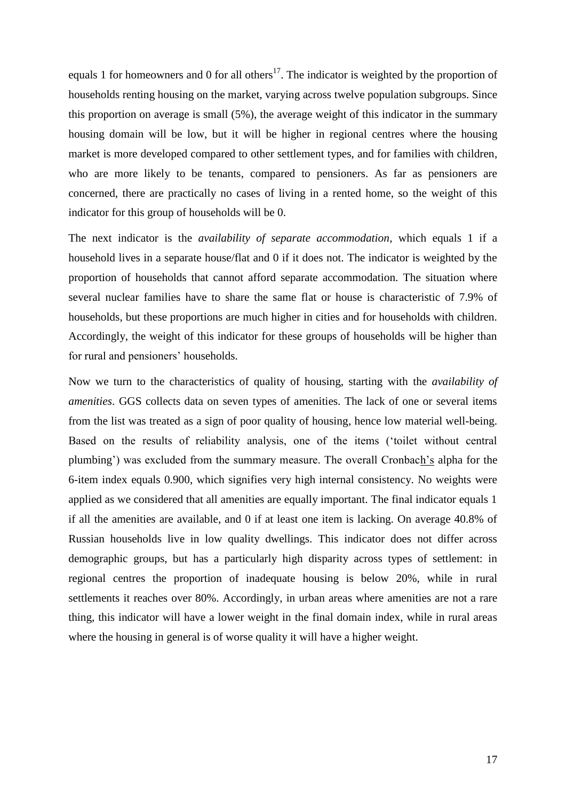equals 1 for homeowners and 0 for all others<sup>17</sup>. The indicator is weighted by the proportion of households renting housing on the market, varying across twelve population subgroups. Since this proportion on average is small (5%), the average weight of this indicator in the summary housing domain will be low, but it will be higher in regional centres where the housing market is more developed compared to other settlement types, and for families with children, who are more likely to be tenants, compared to pensioners. As far as pensioners are concerned, there are practically no cases of living in a rented home, so the weight of this indicator for this group of households will be 0.

The next indicator is the *availability of separate accommodation*, which equals 1 if a household lives in a separate house/flat and 0 if it does not. The indicator is weighted by the proportion of households that cannot afford separate accommodation. The situation where several nuclear families have to share the same flat or house is characteristic of 7.9% of households, but these proportions are much higher in cities and for households with children. Accordingly, the weight of this indicator for these groups of households will be higher than for rural and pensioners' households.

Now we turn to the characteristics of quality of housing, starting with the *availability of amenities*. GGS collects data on seven types of amenities. The lack of one or several items from the list was treated as a sign of poor quality of housing, hence low material well-being. Based on the results of reliability analysis, one of the items ('toilet without central plumbing') was excluded from the summary measure. The overall Cronbach's alpha for the 6-item index equals 0.900, which signifies very high internal consistency. No weights were applied as we considered that all amenities are equally important. The final indicator equals 1 if all the amenities are available, and 0 if at least one item is lacking. On average 40.8% of Russian households live in low quality dwellings. This indicator does not differ across demographic groups, but has a particularly high disparity across types of settlement: in regional centres the proportion of inadequate housing is below 20%, while in rural settlements it reaches over 80%. Accordingly, in urban areas where amenities are not a rare thing, this indicator will have a lower weight in the final domain index, while in rural areas where the housing in general is of worse quality it will have a higher weight.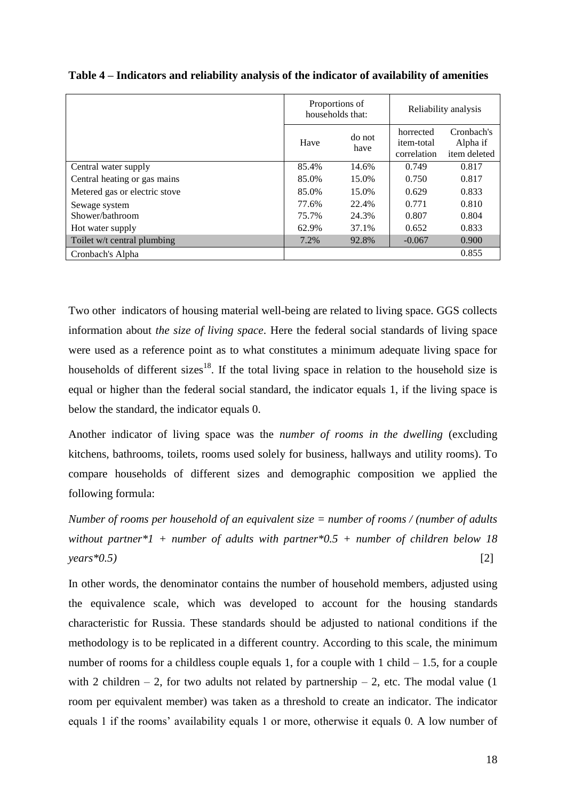|                               |       | Proportions of<br>households that: |                                               | Reliability analysis                   |
|-------------------------------|-------|------------------------------------|-----------------------------------------------|----------------------------------------|
|                               | Have  | do not<br>have                     | horrected<br><i>item-total</i><br>correlation | Cronbach's<br>Alpha if<br>item deleted |
| Central water supply          | 85.4% | 14.6%                              | 0.749                                         | 0.817                                  |
| Central heating or gas mains  | 85.0% | 15.0%                              | 0.750                                         | 0.817                                  |
| Metered gas or electric stove | 85.0% | 15.0%                              | 0.629                                         | 0.833                                  |
| Sewage system                 | 77.6% | 22.4%                              | 0.771                                         | 0.810                                  |
| Shower/bathroom               | 75.7% | 24.3%                              | 0.807                                         | 0.804                                  |
| Hot water supply              | 62.9% | 37.1%                              | 0.652                                         | 0.833                                  |
| Toilet w/t central plumbing   | 7.2%  | 92.8%                              | $-0.067$                                      | 0.900                                  |
| Cronbach's Alpha              |       |                                    |                                               | 0.855                                  |

**Table 4 – Indicators and reliability analysis of the indicator of availability of amenities**

Two other indicators of housing material well-being are related to living space. GGS collects information about *the size of living space*. Here the federal social standards of living space were used as a reference point as to what constitutes a minimum adequate living space for households of different sizes<sup>18</sup>. If the total living space in relation to the household size is equal or higher than the federal social standard, the indicator equals 1, if the living space is below the standard, the indicator equals 0.

Another indicator of living space was the *number of rooms in the dwelling* (excluding kitchens, bathrooms, toilets, rooms used solely for business, hallways and utility rooms). To compare households of different sizes and demographic composition we applied the following formula:

*Number of rooms per household of an equivalent size = number of rooms / (number of adults without partner\*1 + number of adults with partner\*0.5 + number of children below 18 years\*0.5)* [2]

In other words, the denominator contains the number of household members, adjusted using the equivalence scale, which was developed to account for the housing standards characteristic for Russia. These standards should be adjusted to national conditions if the methodology is to be replicated in a different country. According to this scale, the minimum number of rooms for a childless couple equals 1, for a couple with  $1$  child  $-1.5$ , for a couple with 2 children – 2, for two adults not related by partnership – 2, etc. The modal value  $(1)$ room per equivalent member) was taken as a threshold to create an indicator. The indicator equals 1 if the rooms' availability equals 1 or more, otherwise it equals 0. A low number of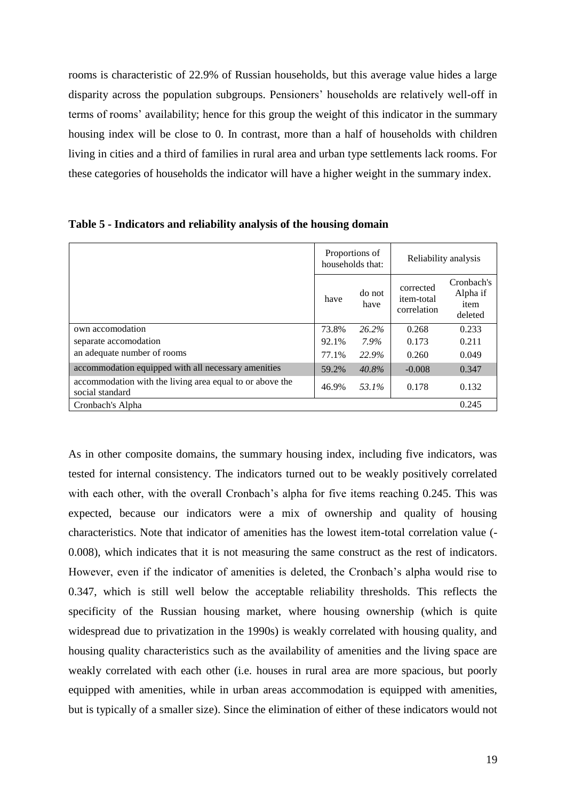rooms is characteristic of 22.9% of Russian households, but this average value hides a large disparity across the population subgroups. Pensioners' households are relatively well-off in terms of rooms' availability; hence for this group the weight of this indicator in the summary housing index will be close to 0. In contrast, more than a half of households with children living in cities and a third of families in rural area and urban type settlements lack rooms. For these categories of households the indicator will have a higher weight in the summary index.

|                                                                             |                        | Proportions of<br>households that: | Reliability analysis                   |                                           |  |
|-----------------------------------------------------------------------------|------------------------|------------------------------------|----------------------------------------|-------------------------------------------|--|
|                                                                             | do not<br>have<br>have |                                    | corrected<br>item-total<br>correlation | Cronbach's<br>Alpha if<br>item<br>deleted |  |
| own accomodation                                                            | 73.8%                  | $26.2\%$                           | 0.268                                  | 0.233                                     |  |
| separate accomodation                                                       | 92.1%                  | 7.9%                               | 0.173                                  | 0.211                                     |  |
| an adequate number of rooms                                                 | 77.1%                  | 22.9%                              | 0.260                                  | 0.049                                     |  |
| accommodation equipped with all necessary amenities                         | 59.2%                  | $40.8\%$                           | $-0.008$                               | 0.347                                     |  |
| accommodation with the living area equal to or above the<br>social standard | 46.9%                  | 53.1%                              | 0.178                                  | 0.132                                     |  |
| Cronbach's Alpha                                                            |                        |                                    |                                        | 0.245                                     |  |

**Table 5 - Indicators and reliability analysis of the housing domain**

As in other composite domains, the summary housing index, including five indicators, was tested for internal consistency. The indicators turned out to be weakly positively correlated with each other, with the overall Cronbach's alpha for five items reaching 0.245. This was expected, because our indicators were a mix of ownership and quality of housing characteristics. Note that indicator of amenities has the lowest item-total correlation value (- 0.008), which indicates that it is not measuring the same construct as the rest of indicators. However, even if the indicator of amenities is deleted, the Cronbach's alpha would rise to 0.347, which is still well below the acceptable reliability thresholds. This reflects the specificity of the Russian housing market, where housing ownership (which is quite widespread due to privatization in the 1990s) is weakly correlated with housing quality, and housing quality characteristics such as the availability of amenities and the living space are weakly correlated with each other (i.e. houses in rural area are more spacious, but poorly equipped with amenities, while in urban areas accommodation is equipped with amenities, but is typically of a smaller size). Since the elimination of either of these indicators would not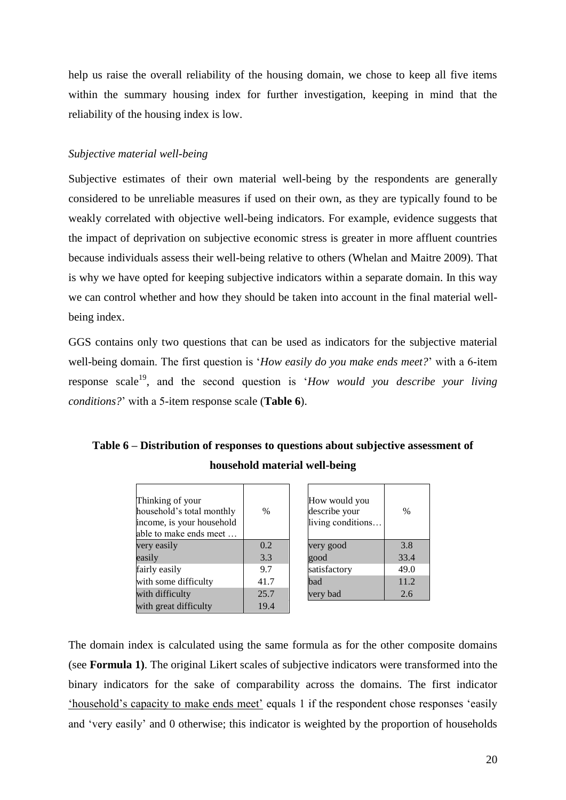help us raise the overall reliability of the housing domain, we chose to keep all five items within the summary housing index for further investigation, keeping in mind that the reliability of the housing index is low.

#### *Subjective material well-being*

Subjective estimates of their own material well-being by the respondents are generally considered to be unreliable measures if used on their own, as they are typically found to be weakly correlated with objective well-being indicators. For example, evidence suggests that the impact of deprivation on subjective economic stress is greater in more affluent countries because individuals assess their well-being relative to others [\(Whelan and Maitre 2009\)](#page-29-6). That is why we have opted for keeping subjective indicators within a separate domain. In this way we can control whether and how they should be taken into account in the final material wellbeing index.

GGS contains only two questions that can be used as indicators for the subjective material well-being domain. The first question is '*How easily do you make ends meet?*' with a 6-item response scale<sup>19</sup>, and the second question is '*How would you describe your living conditions?*' with a 5-item response scale (**Table 6**).

### **Table 6 – Distribution of responses to questions about subjective assessment of household material well-being**

| Thinking of your<br>household's total monthly<br>income, is your household<br>able to make ends meet | $\%$ | How would you<br>describe your<br>living conditions | $\frac{0}{0}$ |
|------------------------------------------------------------------------------------------------------|------|-----------------------------------------------------|---------------|
| very easily                                                                                          | 0.2  | very good                                           | 3.8           |
| easily                                                                                               | 3.3  | good                                                | 33.4          |
| fairly easily                                                                                        | 9.7  | satisfactory                                        | 49.0          |
| with some difficulty                                                                                 | 41.7 | bad                                                 | 11.2          |
| with difficulty                                                                                      | 25.7 | very bad                                            | 2.6           |
| with great difficulty                                                                                | 19.4 |                                                     |               |

| How would you<br>describe your<br>living conditions | $\%$ |
|-----------------------------------------------------|------|
| very good                                           | 3.8  |
| good                                                | 33.4 |
| satisfactory                                        | 49.0 |
| bad                                                 | 11.2 |
| very bad                                            | 2.6  |

The domain index is calculated using the same formula as for the other composite domains (see **Formula 1)**. The original Likert scales of subjective indicators were transformed into the binary indicators for the sake of comparability across the domains. The first indicator 'household's capacity to make ends meet' equals 1 if the respondent chose responses 'easily and 'very easily' and 0 otherwise; this indicator is weighted by the proportion of households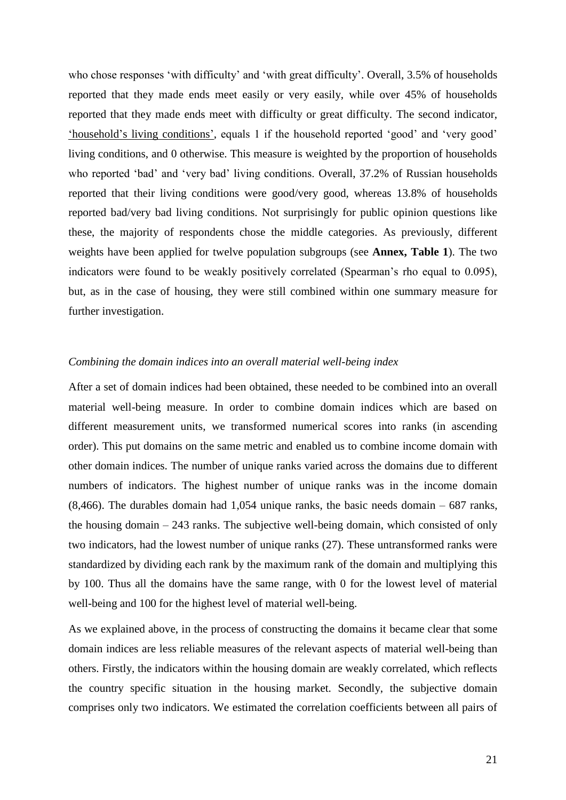who chose responses 'with difficulty' and 'with great difficulty'. Overall, 3.5% of households reported that they made ends meet easily or very easily, while over 45% of households reported that they made ends meet with difficulty or great difficulty. The second indicator, 'household's living conditions', equals 1 if the household reported 'good' and 'very good' living conditions, and 0 otherwise. This measure is weighted by the proportion of households who reported 'bad' and 'very bad' living conditions. Overall, 37.2% of Russian households reported that their living conditions were good/very good, whereas 13.8% of households reported bad/very bad living conditions. Not surprisingly for public opinion questions like these, the majority of respondents chose the middle categories. As previously, different weights have been applied for twelve population subgroups (see **Annex, Table 1**). The two indicators were found to be weakly positively correlated (Spearman's rho equal to 0.095), but, as in the case of housing, they were still combined within one summary measure for further investigation.

#### *Combining the domain indices into an overall material well-being index*

After a set of domain indices had been obtained, these needed to be combined into an overall material well-being measure. In order to combine domain indices which are based on different measurement units, we transformed numerical scores into ranks (in ascending order). This put domains on the same metric and enabled us to combine income domain with other domain indices. The number of unique ranks varied across the domains due to different numbers of indicators. The highest number of unique ranks was in the income domain  $(8,466)$ . The durables domain had 1,054 unique ranks, the basic needs domain – 687 ranks, the housing domain – 243 ranks. The subjective well-being domain, which consisted of only two indicators, had the lowest number of unique ranks (27). These untransformed ranks were standardized by dividing each rank by the maximum rank of the domain and multiplying this by 100. Thus all the domains have the same range, with 0 for the lowest level of material well-being and 100 for the highest level of material well-being.

As we explained above, in the process of constructing the domains it became clear that some domain indices are less reliable measures of the relevant aspects of material well-being than others. Firstly, the indicators within the housing domain are weakly correlated, which reflects the country specific situation in the housing market. Secondly, the subjective domain comprises only two indicators. We estimated the correlation coefficients between all pairs of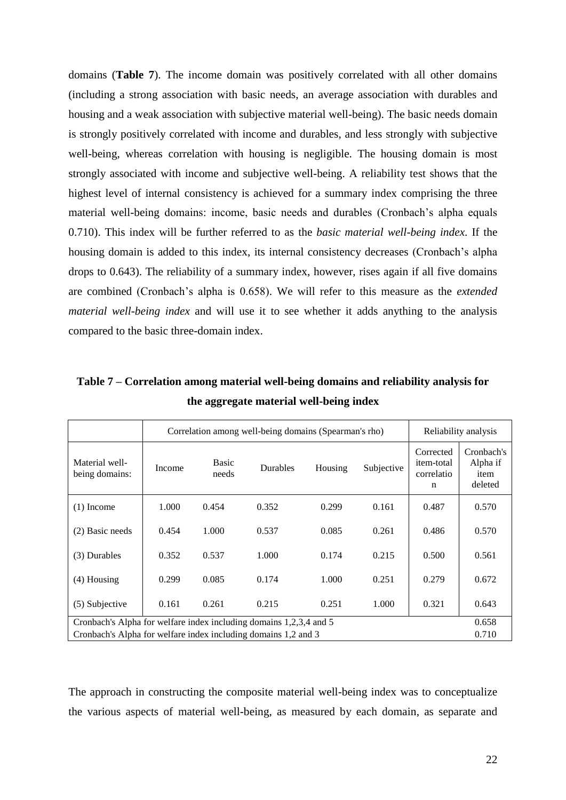domains (**Table 7**). The income domain was positively correlated with all other domains (including a strong association with basic needs, an average association with durables and housing and a weak association with subjective material well-being). The basic needs domain is strongly positively correlated with income and durables, and less strongly with subjective well-being, whereas correlation with housing is negligible. The housing domain is most strongly associated with income and subjective well-being. A reliability test shows that the highest level of internal consistency is achieved for a summary index comprising the three material well-being domains: income, basic needs and durables (Cronbach's alpha equals 0.710). This index will be further referred to as the *basic material well-being index*. If the housing domain is added to this index, its internal consistency decreases (Cronbach's alpha drops to 0.643). The reliability of a summary index, however, rises again if all five domains are combined (Cronbach's alpha is 0.658). We will refer to this measure as the *extended material well-being index* and will use it to see whether it adds anything to the analysis compared to the basic three-domain index.

|                                                                    | Correlation among well-being domains (Spearman's rho) |                | Reliability analysis |         |            |                                                      |                                           |
|--------------------------------------------------------------------|-------------------------------------------------------|----------------|----------------------|---------|------------|------------------------------------------------------|-------------------------------------------|
| Material well-<br>being domains:                                   | Income                                                | Basic<br>needs | Durables             | Housing | Subjective | Corrected<br>item-total<br>correlatio<br>$\mathbf n$ | Cronbach's<br>Alpha if<br>item<br>deleted |
| $(1)$ Income                                                       | 1.000                                                 | 0.454          | 0.352                | 0.299   | 0.161      | 0.487                                                | 0.570                                     |
| (2) Basic needs                                                    | 0.454                                                 | 1.000          | 0.537                | 0.085   | 0.261      | 0.486                                                | 0.570                                     |
| (3) Durables                                                       | 0.352                                                 | 0.537          | 1.000                | 0.174   | 0.215      | 0.500                                                | 0.561                                     |
| $(4)$ Housing                                                      | 0.299                                                 | 0.085          | 0.174                | 1.000   | 0.251      | 0.279                                                | 0.672                                     |
| (5) Subjective                                                     | 0.161                                                 | 0.261          | 0.215                | 0.251   | 1.000      | 0.321                                                | 0.643                                     |
| Cronbach's Alpha for welfare index including domains 1,2,3,4 and 5 |                                                       |                |                      |         |            |                                                      | 0.658                                     |
| Cronbach's Alpha for welfare index including domains 1,2 and 3     |                                                       |                |                      |         |            |                                                      | 0.710                                     |

**Table 7 – Correlation among material well-being domains and reliability analysis for the aggregate material well-being index**

The approach in constructing the composite material well-being index was to conceptualize the various aspects of material well-being, as measured by each domain, as separate and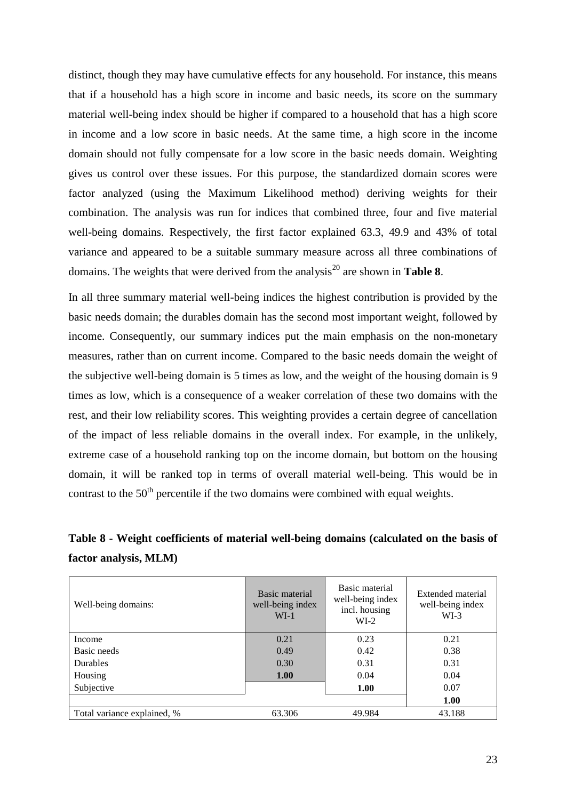distinct, though they may have cumulative effects for any household. For instance, this means that if a household has a high score in income and basic needs, its score on the summary material well-being index should be higher if compared to a household that has a high score in income and a low score in basic needs. At the same time, a high score in the income domain should not fully compensate for a low score in the basic needs domain. Weighting gives us control over these issues. For this purpose, the standardized domain scores were factor analyzed (using the Maximum Likelihood method) deriving weights for their combination. The analysis was run for indices that combined three, four and five material well-being domains. Respectively, the first factor explained 63.3, 49.9 and 43% of total variance and appeared to be a suitable summary measure across all three combinations of domains. The weights that were derived from the analysis<sup>20</sup> are shown in **Table 8**.

In all three summary material well-being indices the highest contribution is provided by the basic needs domain; the durables domain has the second most important weight, followed by income. Consequently, our summary indices put the main emphasis on the non-monetary measures, rather than on current income. Compared to the basic needs domain the weight of the subjective well-being domain is 5 times as low, and the weight of the housing domain is 9 times as low, which is a consequence of a weaker correlation of these two domains with the rest, and their low reliability scores. This weighting provides a certain degree of cancellation of the impact of less reliable domains in the overall index. For example, in the unlikely, extreme case of a household ranking top on the income domain, but bottom on the housing domain, it will be ranked top in terms of overall material well-being. This would be in contrast to the  $50<sup>th</sup>$  percentile if the two domains were combined with equal weights.

### **Table 8 - Weight coefficients of material well-being domains (calculated on the basis of factor analysis, MLM)**

| Well-being domains:         | Basic material<br>well-being index<br>$WI-1$ | Basic material<br>well-being index<br>incl. housing<br>$WI-2$ | Extended material<br>well-being index<br>$WI-3$ |  |  |
|-----------------------------|----------------------------------------------|---------------------------------------------------------------|-------------------------------------------------|--|--|
| Income                      | 0.21                                         | 0.23                                                          | 0.21                                            |  |  |
| Basic needs                 | 0.49                                         | 0.42                                                          | 0.38                                            |  |  |
| <b>Durables</b>             | 0.30                                         | 0.31                                                          | 0.31                                            |  |  |
| Housing                     | <b>1.00</b>                                  | 0.04                                                          | 0.04                                            |  |  |
| Subjective                  |                                              | 1.00                                                          | 0.07                                            |  |  |
|                             |                                              |                                                               | 1.00                                            |  |  |
| Total variance explained, % | 63.306                                       | 49.984                                                        | 43.188                                          |  |  |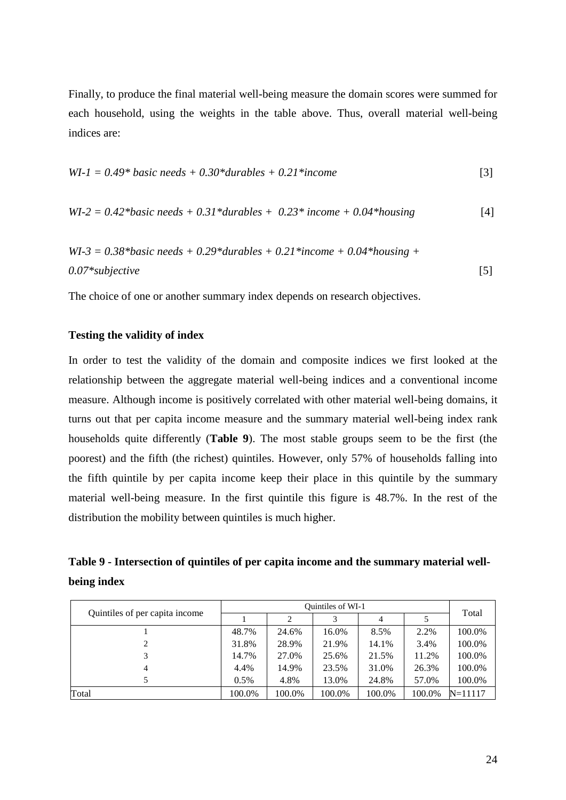Finally, to produce the final material well-being measure the domain scores were summed for each household, using the weights in the table above. Thus, overall material well-being indices are:

$$
WI-1 = 0.49* basic needs + 0.30*durables + 0.21*income
$$
\n[3]

$$
WI-2 = 0.42 * basic needs + 0.31 * durables + 0.23 * income + 0.04 * housing
$$
 [4]

$$
WI-3 = 0.38 * basic needs + 0.29 * durables + 0.21 * income + 0.04 * housing + 0.07 * subjective
$$
\n[5]

The choice of one or another summary index depends on research objectives.

#### **Testing the validity of index**

In order to test the validity of the domain and composite indices we first looked at the relationship between the aggregate material well-being indices and a conventional income measure. Although income is positively correlated with other material well-being domains, it turns out that per capita income measure and the summary material well-being index rank households quite differently (**Table 9**). The most stable groups seem to be the first (the poorest) and the fifth (the richest) quintiles. However, only 57% of households falling into the fifth quintile by per capita income keep their place in this quintile by the summary material well-being measure. In the first quintile this figure is 48.7%. In the rest of the distribution the mobility between quintiles is much higher.

| Table 9 - Intersection of quintiles of per capita income and the summary material well- |  |
|-----------------------------------------------------------------------------------------|--|
| being index                                                                             |  |

|                                |         | Total  |        |                |        |             |
|--------------------------------|---------|--------|--------|----------------|--------|-------------|
| Quintiles of per capita income |         |        | 3      | $\overline{4}$ |        |             |
|                                | 48.7%   | 24.6%  | 16.0%  | 8.5%           | 2.2%   | 100.0%      |
|                                | 31.8%   | 28.9%  | 21.9%  | 14.1%          | 3.4%   | 100.0%      |
|                                | 14.7%   | 27.0%  | 25.6%  | 21.5%          | 11.2%  | 100.0%      |
| 4                              | 4.4%    | 14.9%  | 23.5%  | 31.0%          | 26.3%  | 100.0%      |
|                                | $0.5\%$ | 4.8%   | 13.0%  | 24.8%          | 57.0%  | 100.0%      |
| Total                          | 100.0%  | 100.0% | 100.0% | 100.0%         | 100.0% | $N = 11117$ |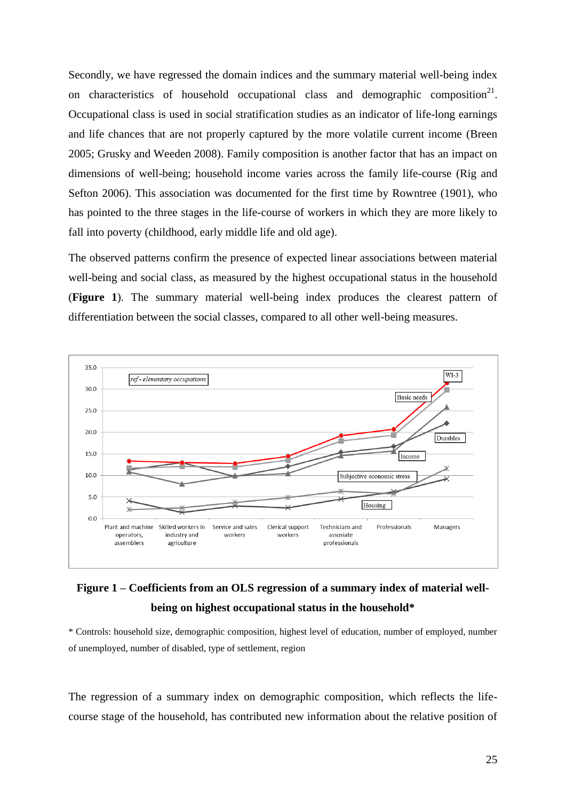Secondly, we have regressed the domain indices and the summary material well-being index on characteristics of household occupational class and demographic composition<sup>21</sup>. Occupational class is used in social stratification studies as an indicator of life-long earnings and life chances that are not properly captured by the more volatile current income [\(Breen](#page-28-24)  [2005;](#page-28-24) [Grusky and Weeden 2008\)](#page-28-25). Family composition is another factor that has an impact on dimensions of well-being; household income varies across the family life-course [\(Rig and](#page-29-17)  [Sefton 2006\)](#page-29-17). This association was documented for the first time by [Rowntree \(1901\)](#page-29-10), who has pointed to the three stages in the life-course of workers in which they are more likely to fall into poverty (childhood, early middle life and old age).

The observed patterns confirm the presence of expected linear associations between material well-being and social class, as measured by the highest occupational status in the household (**Figure 1**). The summary material well-being index produces the clearest pattern of differentiation between the social classes, compared to all other well-being measures.



### **Figure 1 – Coefficients from an OLS regression of a summary index of material wellbeing on highest occupational status in the household\***

\* Controls: household size, demographic composition, highest level of education, number of employed, number of unemployed, number of disabled, type of settlement, region

The regression of a summary index on demographic composition, which reflects the lifecourse stage of the household, has contributed new information about the relative position of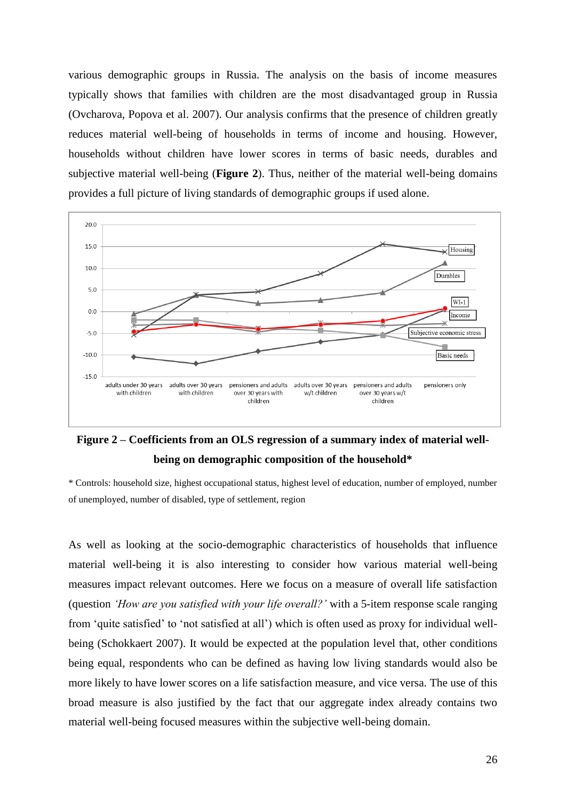various demographic groups in Russia. The analysis on the basis of income measures typically shows that families with children are the most disadvantaged group in Russia [\(Ovcharova, Popova et al. 2007\)](#page-29-19). Our analysis confirms that the presence of children greatly reduces material well-being of households in terms of income and housing. However, households without children have lower scores in terms of basic needs, durables and subjective material well-being (**Figure 2**). Thus, neither of the material well-being domains provides a full picture of living standards of demographic groups if used alone.



## **Figure 2 – Coefficients from an OLS regression of a summary index of material wellbeing on demographic composition of the household\***

\* Controls: household size, highest occupational status, highest level of education, number of employed, number of unemployed, number of disabled, type of settlement, region

As well as looking at the socio-demographic characteristics of households that influence material well-being it is also interesting to consider how various material well-being measures impact relevant outcomes. Here we focus on a measure of overall life satisfaction (question *'How are you satisfied with your life overall?'* with a 5-item response scale ranging from 'quite satisfied' to 'not satisfied at all') which is often used as proxy for individual wellbeing [\(Schokkaert 2007\)](#page-29-18). It would be expected at the population level that, other conditions being equal, respondents who can be defined as having low living standards would also be more likely to have lower scores on a life satisfaction measure, and vice versa. The use of this broad measure is also justified by the fact that our aggregate index already contains two material well-being focused measures within the subjective well-being domain.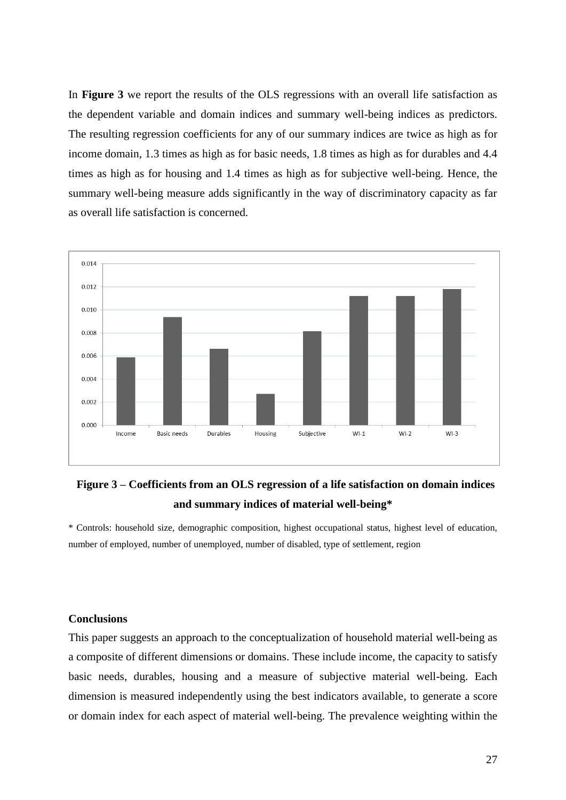In **Figure 3** we report the results of the OLS regressions with an overall life satisfaction as the dependent variable and domain indices and summary well-being indices as predictors. The resulting regression coefficients for any of our summary indices are twice as high as for income domain, 1.3 times as high as for basic needs, 1.8 times as high as for durables and 4.4 times as high as for housing and 1.4 times as high as for subjective well-being. Hence, the summary well-being measure adds significantly in the way of discriminatory capacity as far as overall life satisfaction is concerned.



## **Figure 3 – Coefficients from an OLS regression of a life satisfaction on domain indices and summary indices of material well-being\***

\* Controls: household size, demographic composition, highest occupational status, highest level of education, number of employed, number of unemployed, number of disabled, type of settlement, region

#### **Conclusions**

This paper suggests an approach to the conceptualization of household material well-being as a composite of different dimensions or domains. These include income, the capacity to satisfy basic needs, durables, housing and a measure of subjective material well-being. Each dimension is measured independently using the best indicators available, to generate a score or domain index for each aspect of material well-being. The prevalence weighting within the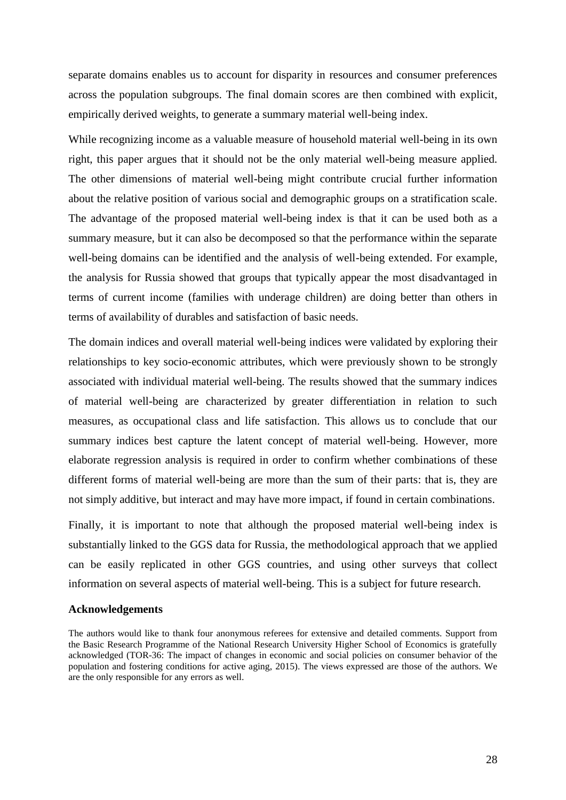separate domains enables us to account for disparity in resources and consumer preferences across the population subgroups. The final domain scores are then combined with explicit, empirically derived weights, to generate a summary material well-being index.

While recognizing income as a valuable measure of household material well-being in its own right, this paper argues that it should not be the only material well-being measure applied. The other dimensions of material well-being might contribute crucial further information about the relative position of various social and demographic groups on a stratification scale. The advantage of the proposed material well-being index is that it can be used both as a summary measure, but it can also be decomposed so that the performance within the separate well-being domains can be identified and the analysis of well-being extended. For example, the analysis for Russia showed that groups that typically appear the most disadvantaged in terms of current income (families with underage children) are doing better than others in terms of availability of durables and satisfaction of basic needs.

The domain indices and overall material well-being indices were validated by exploring their relationships to key socio-economic attributes, which were previously shown to be strongly associated with individual material well-being. The results showed that the summary indices of material well-being are characterized by greater differentiation in relation to such measures, as occupational class and life satisfaction. This allows us to conclude that our summary indices best capture the latent concept of material well-being. However, more elaborate regression analysis is required in order to confirm whether combinations of these different forms of material well-being are more than the sum of their parts: that is, they are not simply additive, but interact and may have more impact, if found in certain combinations.

Finally, it is important to note that although the proposed material well-being index is substantially linked to the GGS data for Russia, the methodological approach that we applied can be easily replicated in other GGS countries, and using other surveys that collect information on several aspects of material well-being. This is a subject for future research.

#### **Acknowledgements**

The authors would like to thank four anonymous referees for extensive and detailed comments. Support from the Basic Research Programme of the National Research University Higher School of Economics is gratefully acknowledged (TOR-36: The impact of changes in economic and social policies on consumer behavior of the population and fostering conditions for active aging, 2015). The views expressed are those of the authors. We are the only responsible for any errors as well.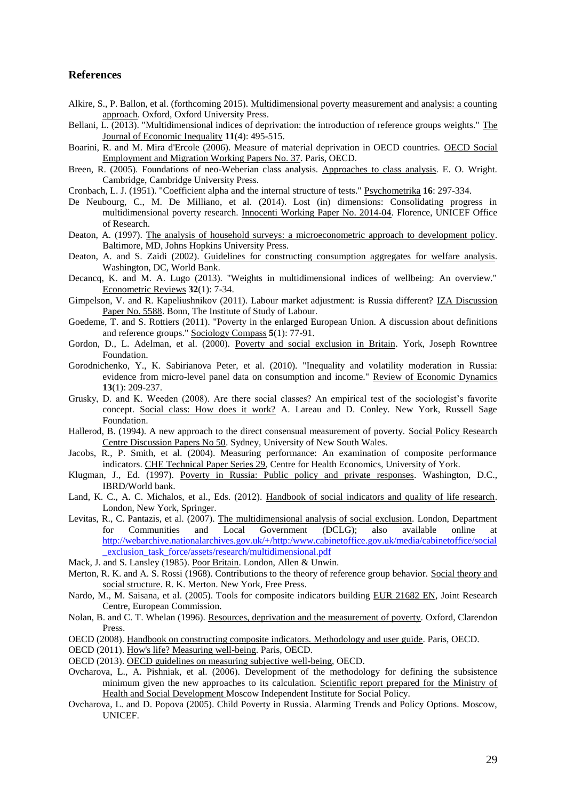#### **References**

- <span id="page-28-5"></span>Alkire, S., P. Ballon, et al. (forthcoming 2015). Multidimensional poverty measurement and analysis: a counting approach. Oxford, Oxford University Press.
- <span id="page-28-9"></span>Bellani, L. (2013). "Multidimensional indices of deprivation: the introduction of reference groups weights." The Journal of Economic Inequality **11**(4): 495-515.
- <span id="page-28-3"></span>Boarini, R. and M. Mira d'Ercole (2006). Measure of material deprivation in OECD countries. OECD Social Employment and Migration Working Papers No. 37. Paris, OECD.
- <span id="page-28-24"></span>Breen, R. (2005). Foundations of neo-Weberian class analysis. Approaches to class analysis. E. O. Wright. Cambridge, Cambridge University Press.
- <span id="page-28-18"></span>Cronbach, L. J. (1951). "Coefficient alpha and the internal structure of tests." Psychometrika **16**: 297-334.
- <span id="page-28-4"></span>De Neubourg, C., M. De Milliano, et al. (2014). Lost (in) dimensions: Consolidating progress in multidimensional poverty research. Innocenti Working Paper No. 2014-04. Florence, UNICEF Office of Research.
- <span id="page-28-0"></span>Deaton, A. (1997). The analysis of household surveys: a microeconometric approach to development policy. Baltimore, MD, Johns Hopkins University Press.
- <span id="page-28-10"></span>Deaton, A. and S. Zaidi (2002). Guidelines for constructing consumption aggregates for welfare analysis. Washington, DC, World Bank.
- <span id="page-28-21"></span>Decancq, K. and M. A. Lugo (2013). "Weights in multidimensional indices of wellbeing: An overview." Econometric Reviews **32**(1): 7-34.
- <span id="page-28-14"></span>Gimpelson, V. and R. Kapeliushnikov (2011). Labour market adjustment: is Russia different? IZA Discussion Paper No. 5588. Bonn, The Institute of Study of Labour.
- <span id="page-28-8"></span>Goedeme, T. and S. Rottiers (2011). "Poverty in the enlarged European Union. A discussion about definitions and reference groups." Sociology Compass **5**(1): 77-91.
- <span id="page-28-12"></span>Gordon, D., L. Adelman, et al. (2000). Poverty and social exclusion in Britain. York, Joseph Rowntree Foundation.
- <span id="page-28-13"></span>Gorodnichenko, Y., K. Sabirianova Peter, et al. (2010). "Inequality and volatility moderation in Russia: evidence from micro-level panel data on consumption and income." Review of Economic Dynamics **13**(1): 209-237.
- <span id="page-28-25"></span>Grusky, D. and K. Weeden (2008). Are there social classes? An empirical test of the sociologist's favorite concept. Social class: How does it work? A. Lareau and D. Conley. New York, Russell Sage Foundation.
- <span id="page-28-20"></span>Hallerod, B. (1994). A new approach to the direct consensual measurement of poverty. Social Policy Research Centre Discussion Papers No 50. Sydney, University of New South Wales.
- <span id="page-28-22"></span>Jacobs, R., P. Smith, et al. (2004). Measuring performance: An examination of composite performance indicators. CHE Technical Paper Series 29, Centre for Health Economics, University of York.
- Klugman, J., Ed. (1997). Poverty in Russia: Public policy and private responses. Washington, D.C., IBRD/World bank.
- <span id="page-28-16"></span>Land, K. C., A. C. Michalos, et al., Eds. (2012). Handbook of social indicators and quality of life research. London, New York, Springer.
- <span id="page-28-7"></span>Levitas, R., C. Pantazis, et al. (2007). The multidimensional analysis of social exclusion. London, Department for Communities and Local Government (DCLG); also available online at [http://webarchive.nationalarchives.gov.uk/+/http:/www.cabinetoffice.gov.uk/media/cabinetoffice/social](http://webarchive.nationalarchives.gov.uk/+/http:/www.cabinetoffice.gov.uk/media/cabinetoffice/social_exclusion_task_force/assets/research/multidimensional.pdf) [\\_exclusion\\_task\\_force/assets/research/multidimensional.pdf](http://webarchive.nationalarchives.gov.uk/+/http:/www.cabinetoffice.gov.uk/media/cabinetoffice/social_exclusion_task_force/assets/research/multidimensional.pdf)
- <span id="page-28-2"></span>Mack, J. and S. Lansley (1985). Poor Britain. London, Allen & Unwin.
- <span id="page-28-6"></span>Merton, R. K. and A. S. Rossi (1968). Contributions to the theory of reference group behavior. Social theory and social structure. R. K. Merton. New York, Free Press.
- <span id="page-28-23"></span>Nardo, M., M. Saisana, et al. (2005). Tools for composite indicators building EUR 21682 EN, Joint Research Centre, European Commission.
- <span id="page-28-11"></span>Nolan, B. and C. T. Whelan (1996). Resources, deprivation and the measurement of poverty. Oxford, Clarendon Press.
- <span id="page-28-19"></span>OECD (2008). Handbook on constructing composite indicators. Methodology and user guide. Paris, OECD.
- <span id="page-28-1"></span>OECD (2011). How's life? Measuring well-being. Paris, OECD.
- <span id="page-28-17"></span>OECD (2013). OECD guidelines on measuring subjective well-being, OECD.
- Ovcharova, L., A. Pishniak, et al. (2006). Development of the methodology for defining the subsistence minimum given the new approaches to its calculation. Scientific report prepared for the Ministry of Health and Social Development Moscow Independent Institute for Social Policy.
- <span id="page-28-15"></span>Ovcharova, L. and D. Popova (2005). Child Poverty in Russia. Alarming Trends and Policy Options. Moscow, UNICEF.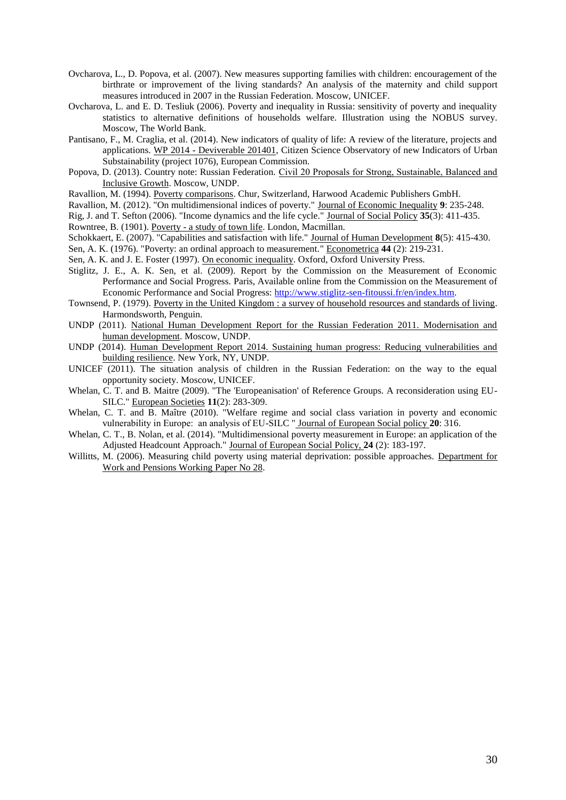- <span id="page-29-19"></span>Ovcharova, L., D. Popova, et al. (2007). New measures supporting families with children: encouragement of the birthrate or improvement of the living standards? An analysis of the maternity and child support measures introduced in 2007 in the Russian Federation. Moscow, UNICEF.
- <span id="page-29-12"></span>Ovcharova, L. and E. D. Tesliuk (2006). Poverty and inequality in Russia: sensitivity of poverty and inequality statistics to alternative definitions of households welfare. Illustration using the NOBUS survey. Moscow, The World Bank.
- <span id="page-29-11"></span>Pantisano, F., M. Craglia, et al. (2014). New indicators of quality of life: A review of the literature, projects and applications. WP 2014 - Deviverable 201401, Citizen Science Observatory of new Indicators of Urban Substainability (project 1076), European Commission.
- <span id="page-29-13"></span>Popova, D. (2013). Country note: Russian Federation. Сivil 20 Proposals for Strong, Sustainable, Balanced and Inclusive Growth. Moscow, UNDP.
- <span id="page-29-0"></span>Ravallion, M. (1994). Poverty comparisons. Chur, Switzerland, Harwood Academic Publishers GmbH.
- <span id="page-29-9"></span>Ravallion, M. (2012). "On multidimensional indices of poverty." Journal of Economic Inequality **9**: 235-248.

<span id="page-29-17"></span>Rig, J. and T. Sefton (2006). "Income dynamics and the life cycle." Journal of Social Policy **35**(3): 411-435.

<span id="page-29-10"></span>Rowntree, B. (1901). Poverty - a study of town life. London, Macmillan.

<span id="page-29-18"></span>Schokkaert, E. (2007). "Capabilities and satisfaction with life." Journal of Human Development **8**(5): 415-430.

<span id="page-29-4"></span>Sen, A. K. (1976). "Poverty: an ordinal approach to measurement." Econometrica **44** (2): 219-231.

<span id="page-29-1"></span>Sen, A. K. and J. E. Foster (1997). On economic inequality. Oxford, Oxford University Press.

- <span id="page-29-2"></span>Stiglitz, J. E., A. K. Sen, et al. (2009). Report by the Commission on the Measurement of Economic Performance and Social Progress. Paris, Available online from the Commission on the Measurement of Economic Performance and Social Progress: [http://www.stiglitz-sen-fitoussi.fr/en/index.htm.](http://www.stiglitz-sen-fitoussi.fr/en/index.htm)
- <span id="page-29-5"></span>Townsend, P. (1979). Poverty in the United Kingdom : a survey of household resources and standards of living. Harmondsworth, Penguin.
- <span id="page-29-14"></span>UNDP (2011). National Human Development Report for the Russian Federation 2011. Modernisation and human development. Moscow, UNDP.
- <span id="page-29-3"></span>UNDP (2014). Human Development Report 2014. Sustaining human progress: Reducing vulnerabilities and building resilience. New York, NY, UNDP.
- <span id="page-29-15"></span>UNICEF (2011). The situation analysis of children in the Russian Federation: on the way to the equal opportunity society. Moscow, UNICEF.
- <span id="page-29-6"></span>Whelan, C. T. and B. Maitre (2009). "The 'Europeanisation' of Reference Groups. A reconsideration using EU-SILC." European Societies **11**(2): 283-309.
- <span id="page-29-7"></span>Whelan, C. T. and B. Maître (2010). "Welfare regime and social class variation in poverty and economic vulnerability in Europe: аn analysis of EU-SILC " Journal of European Social policy **20**: 316.
- <span id="page-29-8"></span>Whelan, C. T., B. Nolan, et al. (2014). "Multidimensional poverty measurement in Europe: an application of the Adjusted Headcount Approach." Journal of European Social Policy, **24** (2): 183-197.
- <span id="page-29-16"></span>Willitts, M. (2006). Measuring child poverty using material deprivation: possible approaches. Department for Work and Pensions Working Paper No 28.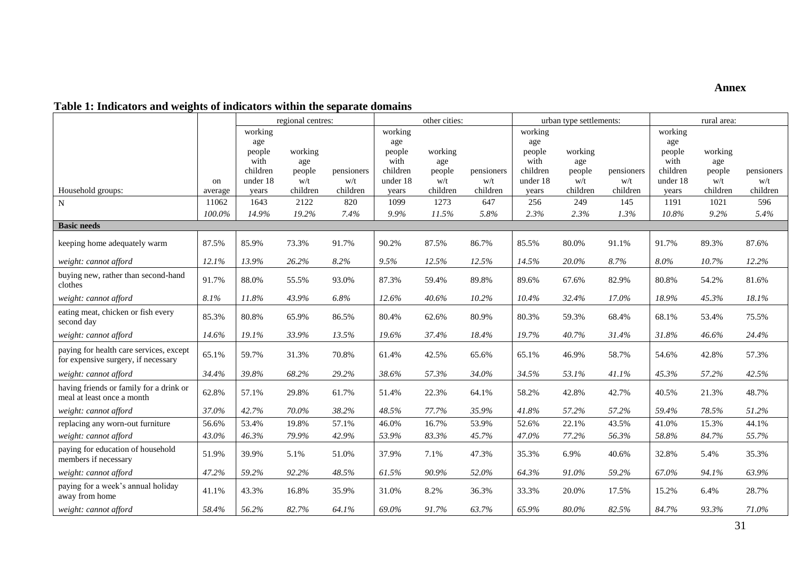### **Annex**

### **Table 1: Indicators and weights of indicators within the separate domains**

|                                                                                |         |                                                          |                                 | regional centres:<br>other cities: |                                                          | urban type settlements:         |                   |                                                          | rural area:                     |                   |                                                          |                                 |                   |
|--------------------------------------------------------------------------------|---------|----------------------------------------------------------|---------------------------------|------------------------------------|----------------------------------------------------------|---------------------------------|-------------------|----------------------------------------------------------|---------------------------------|-------------------|----------------------------------------------------------|---------------------------------|-------------------|
|                                                                                | on      | working<br>age<br>people<br>with<br>children<br>under 18 | working<br>age<br>people<br>w/t | pensioners<br>w/t                  | working<br>age<br>people<br>with<br>children<br>under 18 | working<br>age<br>people<br>w/t | pensioners<br>w/t | working<br>age<br>people<br>with<br>children<br>under 18 | working<br>age<br>people<br>w/t | pensioners<br>w/t | working<br>age<br>people<br>with<br>children<br>under 18 | working<br>age<br>people<br>w/t | pensioners<br>w/t |
| Household groups:                                                              | average | years                                                    | children                        | children                           | years                                                    | children                        | children          | years                                                    | children                        | children          | years                                                    | children                        | children          |
| $\mathbf N$                                                                    | 11062   | 1643                                                     | 2122                            | 820                                | 1099                                                     | 1273                            | 647               | 256                                                      | 249                             | 145               | 1191                                                     | 1021                            | 596               |
|                                                                                | 100.0%  | 14.9%                                                    | 19.2%                           | 7.4%                               | 9.9%                                                     | 11.5%                           | 5.8%              | 2.3%                                                     | 2.3%                            | 1.3%              | 10.8%                                                    | 9.2%                            | 5.4%              |
| <b>Basic needs</b>                                                             |         |                                                          |                                 |                                    |                                                          |                                 |                   |                                                          |                                 |                   |                                                          |                                 |                   |
| keeping home adequately warm                                                   | 87.5%   | 85.9%                                                    | 73.3%                           | 91.7%                              | 90.2%                                                    | 87.5%                           | 86.7%             | 85.5%                                                    | 80.0%                           | 91.1%             | 91.7%                                                    | 89.3%                           | 87.6%             |
| weight: cannot afford                                                          | 12.1%   | 13.9%                                                    | 26.2%                           | 8.2%                               | 9.5%                                                     | 12.5%                           | 12.5%             | 14.5%                                                    | 20.0%                           | 8.7%              | 8.0%                                                     | 10.7%                           | 12.2%             |
| buying new, rather than second-hand<br>clothes                                 | 91.7%   | 88.0%                                                    | 55.5%                           | 93.0%                              | 87.3%                                                    | 59.4%                           | 89.8%             | 89.6%                                                    | 67.6%                           | 82.9%             | 80.8%                                                    | 54.2%                           | 81.6%             |
| weight: cannot afford                                                          | 8.1%    | 11.8%                                                    | 43.9%                           | 6.8%                               | 12.6%                                                    | 40.6%                           | 10.2%             | 10.4%                                                    | 32.4%                           | 17.0%             | 18.9%                                                    | 45.3%                           | 18.1%             |
| eating meat, chicken or fish every<br>second day                               | 85.3%   | 80.8%                                                    | 65.9%                           | 86.5%                              | 80.4%                                                    | 62.6%                           | 80.9%             | 80.3%                                                    | 59.3%                           | 68.4%             | 68.1%                                                    | 53.4%                           | 75.5%             |
| weight: cannot afford                                                          | 14.6%   | 19.1%                                                    | 33.9%                           | 13.5%                              | 19.6%                                                    | 37.4%                           | 18.4%             | 19.7%                                                    | 40.7%                           | 31.4%             | 31.8%                                                    | 46.6%                           | 24.4%             |
| paying for health care services, except<br>for expensive surgery, if necessary | 65.1%   | 59.7%                                                    | 31.3%                           | 70.8%                              | 61.4%                                                    | 42.5%                           | 65.6%             | 65.1%                                                    | 46.9%                           | 58.7%             | 54.6%                                                    | 42.8%                           | 57.3%             |
| weight: cannot afford                                                          | 34.4%   | 39.8%                                                    | 68.2%                           | 29.2%                              | 38.6%                                                    | 57.3%                           | 34.0%             | 34.5%                                                    | 53.1%                           | 41.1%             | 45.3%                                                    | 57.2%                           | 42.5%             |
| having friends or family for a drink or<br>meal at least once a month          | 62.8%   | 57.1%                                                    | 29.8%                           | 61.7%                              | 51.4%                                                    | 22.3%                           | 64.1%             | 58.2%                                                    | 42.8%                           | 42.7%             | 40.5%                                                    | 21.3%                           | 48.7%             |
| weight: cannot afford                                                          | 37.0%   | 42.7%                                                    | 70.0%                           | 38.2%                              | 48.5%                                                    | 77.7%                           | 35.9%             | 41.8%                                                    | 57.2%                           | 57.2%             | 59.4%                                                    | 78.5%                           | 51.2%             |
| replacing any worn-out furniture                                               | 56.6%   | 53.4%                                                    | 19.8%                           | 57.1%                              | 46.0%                                                    | 16.7%                           | 53.9%             | 52.6%                                                    | 22.1%                           | 43.5%             | 41.0%                                                    | 15.3%                           | 44.1%             |
| weight: cannot afford                                                          | 43.0%   | 46.3%                                                    | 79.9%                           | 42.9%                              | 53.9%                                                    | 83.3%                           | 45.7%             | 47.0%                                                    | 77.2%                           | 56.3%             | 58.8%                                                    | 84.7%                           | 55.7%             |
| paying for education of household<br>members if necessary                      | 51.9%   | 39.9%                                                    | 5.1%                            | 51.0%                              | 37.9%                                                    | 7.1%                            | 47.3%             | 35.3%                                                    | 6.9%                            | 40.6%             | 32.8%                                                    | 5.4%                            | 35.3%             |
| weight: cannot afford                                                          | 47.2%   | 59.2%                                                    | 92.2%                           | 48.5%                              | 61.5%                                                    | 90.9%                           | 52.0%             | 64.3%                                                    | 91.0%                           | 59.2%             | 67.0%                                                    | 94.1%                           | 63.9%             |
| paying for a week's annual holiday<br>away from home                           | 41.1%   | 43.3%                                                    | 16.8%                           | 35.9%                              | 31.0%                                                    | 8.2%                            | 36.3%             | 33.3%                                                    | 20.0%                           | 17.5%             | 15.2%                                                    | 6.4%                            | 28.7%             |
| weight: cannot afford                                                          | 58.4%   | 56.2%                                                    | 82.7%                           | 64.1%                              | 69.0%                                                    | 91.7%                           | 63.7%             | 65.9%                                                    | 80.0%                           | 82.5%             | 84.7%                                                    | 93.3%                           | 71.0%             |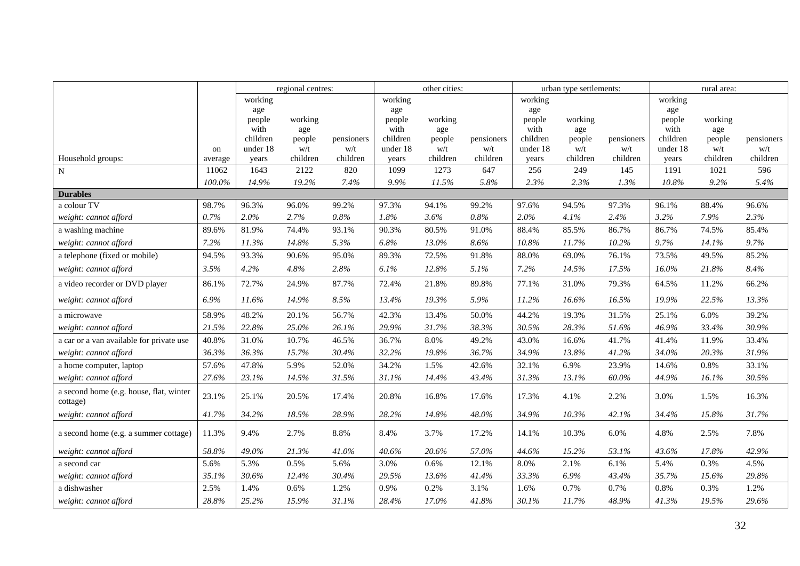|                                                     |         | regional centres: |               |            | other cities:    |               |            | urban type settlements: |               |            | rural area:      |               |            |
|-----------------------------------------------------|---------|-------------------|---------------|------------|------------------|---------------|------------|-------------------------|---------------|------------|------------------|---------------|------------|
|                                                     |         | working           |               |            | working          |               |            | working                 |               |            | working          |               |            |
|                                                     |         | age               |               |            | age              |               |            | age                     |               |            | age              |               |            |
|                                                     |         | people            | working       |            | people           | working       |            | people                  | working       |            | people           | working       |            |
|                                                     |         | with<br>children  | age<br>people | pensioners | with<br>children | age<br>people | pensioners | with<br>children        | age<br>people | pensioners | with<br>children | age<br>people | pensioners |
|                                                     | on      | under 18          | w/t           | w/t        | under 18         | w/t           | w/t        | under 18                | w/t           | w/t        | under 18         | w/t           | w/t        |
| Household groups:                                   | average | years             | children      | children   | years            | children      | children   | years                   | children      | children   | years            | children      | children   |
| ${\bf N}$                                           | 11062   | 1643              | 2122          | 820        | 1099             | 1273          | 647        | 256                     | 249           | 145        | 1191             | 1021          | 596        |
|                                                     | 100.0%  | 14.9%             | 19.2%         | 7.4%       | 9.9%             | 11.5%         | 5.8%       | 2.3%                    | 2.3%          | 1.3%       | 10.8%            | 9.2%          | 5.4%       |
| <b>Durables</b>                                     |         |                   |               |            |                  |               |            |                         |               |            |                  |               |            |
| a colour TV                                         | 98.7%   | 96.3%             | 96.0%         | 99.2%      | 97.3%            | 94.1%         | 99.2%      | 97.6%                   | 94.5%         | 97.3%      | 96.1%            | 88.4%         | 96.6%      |
| weight: cannot afford                               | 0.7%    | 2.0%              | 2.7%          | 0.8%       | 1.8%             | 3.6%          | $0.8\%$    | 2.0%                    | 4.1%          | 2.4%       | 3.2%             | 7.9%          | 2.3%       |
| a washing machine                                   | 89.6%   | 81.9%             | 74.4%         | 93.1%      | 90.3%            | 80.5%         | 91.0%      | 88.4%                   | 85.5%         | 86.7%      | 86.7%            | 74.5%         | 85.4%      |
| weight: cannot afford                               | 7.2%    | 11.3%             | 14.8%         | 5.3%       | 6.8%             | 13.0%         | 8.6%       | 10.8%                   | 11.7%         | 10.2%      | 9.7%             | 14.1%         | 9.7%       |
| a telephone (fixed or mobile)                       | 94.5%   | 93.3%             | 90.6%         | 95.0%      | 89.3%            | 72.5%         | 91.8%      | 88.0%                   | 69.0%         | 76.1%      | 73.5%            | 49.5%         | 85.2%      |
| weight: cannot afford                               | 3.5%    | 4.2%              | 4.8%          | 2.8%       | 6.1%             | 12.8%         | 5.1%       | 7.2%                    | 14.5%         | 17.5%      | 16.0%            | 21.8%         | 8.4%       |
| a video recorder or DVD player                      | 86.1%   | 72.7%             | 24.9%         | 87.7%      | 72.4%            | 21.8%         | 89.8%      | 77.1%                   | 31.0%         | 79.3%      | 64.5%            | 11.2%         | 66.2%      |
| weight: cannot afford                               | 6.9%    | 11.6%             | 14.9%         | 8.5%       | 13.4%            | 19.3%         | 5.9%       | 11.2%                   | 16.6%         | 16.5%      | 19.9%            | $22.5\%$      | 13.3%      |
| a microwave                                         | 58.9%   | 48.2%             | 20.1%         | 56.7%      | 42.3%            | 13.4%         | 50.0%      | 44.2%                   | 19.3%         | 31.5%      | 25.1%            | 6.0%          | 39.2%      |
| weight: cannot afford                               | 21.5%   | 22.8%             | 25.0%         | 26.1%      | 29.9%            | 31.7%         | 38.3%      | 30.5%                   | 28.3%         | 51.6%      | 46.9%            | 33.4%         | 30.9%      |
| a car or a van available for private use            | 40.8%   | 31.0%             | 10.7%         | 46.5%      | 36.7%            | 8.0%          | 49.2%      | 43.0%                   | 16.6%         | 41.7%      | 41.4%            | 11.9%         | 33.4%      |
| weight: cannot afford                               | 36.3%   | 36.3%             | 15.7%         | 30.4%      | 32.2%            | 19.8%         | 36.7%      | 34.9%                   | 13.8%         | 41.2%      | 34.0%            | 20.3%         | 31.9%      |
| a home computer, laptop                             | 57.6%   | 47.8%             | 5.9%          | 52.0%      | 34.2%            | 1.5%          | 42.6%      | 32.1%                   | 6.9%          | 23.9%      | 14.6%            | $0.8\%$       | 33.1%      |
| weight: cannot afford                               | 27.6%   | 23.1%             | 14.5%         | 31.5%      | 31.1%            | 14.4%         | 43.4%      | 31.3%                   | 13.1%         | $60.0\%$   | 44.9%            | 16.1%         | 30.5%      |
| a second home (e.g. house, flat, winter<br>cottage) | 23.1%   | 25.1%             | 20.5%         | 17.4%      | 20.8%            | 16.8%         | 17.6%      | 17.3%                   | 4.1%          | 2.2%       | 3.0%             | 1.5%          | 16.3%      |
| weight: cannot afford                               | 41.7%   | 34.2%             | 18.5%         | 28.9%      | 28.2%            | 14.8%         | 48.0%      | 34.9%                   | 10.3%         | 42.1%      | 34.4%            | 15.8%         | 31.7%      |
| a second home (e.g. a summer cottage)               | 11.3%   | 9.4%              | 2.7%          | 8.8%       | 8.4%             | 3.7%          | 17.2%      | 14.1%                   | 10.3%         | 6.0%       | 4.8%             | 2.5%          | 7.8%       |
| weight: cannot afford                               | 58.8%   | 49.0%             | 21.3%         | 41.0%      | 40.6%            | 20.6%         | 57.0%      | 44.6%                   | 15.2%         | 53.1%      | 43.6%            | 17.8%         | 42.9%      |
| a second car                                        | 5.6%    | 5.3%              | 0.5%          | 5.6%       | 3.0%             | 0.6%          | 12.1%      | 8.0%                    | 2.1%          | 6.1%       | 5.4%             | 0.3%          | 4.5%       |
| weight: cannot afford                               | 35.1%   | 30.6%             | 12.4%         | 30.4%      | 29.5%            | 13.6%         | 41.4%      | 33.3%                   | 6.9%          | 43.4%      | 35.7%            | 15.6%         | 29.8%      |
| a dishwasher                                        | 2.5%    | 1.4%              | 0.6%          | 1.2%       | 0.9%             | 0.2%          | 3.1%       | 1.6%                    | 0.7%          | 0.7%       | 0.8%             | 0.3%          | 1.2%       |
| weight: cannot afford                               | 28.8%   | 25.2%             | 15.9%         | 31.1%      | 28.4%            | 17.0%         | 41.8%      | 30.1%                   | 11.7%         | 48.9%      | 41.3%            | 19.5%         | 29.6%      |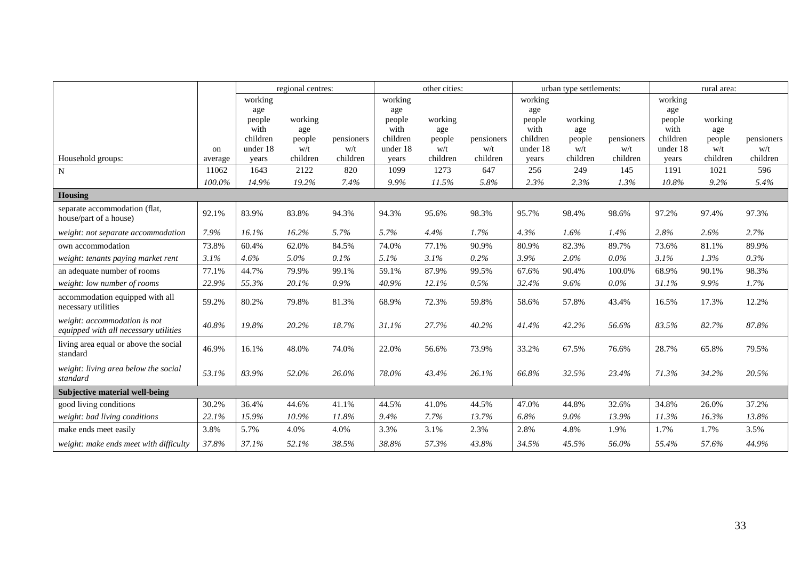|                                                                       |         | regional centres:    |               |                   | other cities:        |               |                   | urban type settlements: |               |                   | rural area:          |               |                   |
|-----------------------------------------------------------------------|---------|----------------------|---------------|-------------------|----------------------|---------------|-------------------|-------------------------|---------------|-------------------|----------------------|---------------|-------------------|
|                                                                       |         | working              |               |                   | working              |               |                   | working                 |               |                   | working              |               |                   |
|                                                                       |         | age                  |               |                   | age                  |               |                   | age                     |               |                   | age                  |               |                   |
|                                                                       |         | people               | working       |                   | people               | working       |                   | people                  | working       |                   | people               | working       |                   |
|                                                                       |         | with                 | age           |                   | with                 | age           |                   | with                    | age           |                   | with                 | age           |                   |
|                                                                       | on      | children<br>under 18 | people<br>w/t | pensioners<br>w/t | children<br>under 18 | people<br>w/t | pensioners<br>w/t | children<br>under 18    | people<br>w/t | pensioners<br>w/t | children<br>under 18 | people<br>w/t | pensioners<br>w/t |
| Household groups:                                                     | average | years                | children      | children          | years                | children      | children          | years                   | children      | children          | years                | children      | children          |
| $\mathbf N$                                                           | 11062   | 1643                 | 2122          | 820               | 1099                 | 1273          | 647               | 256                     | 249           | 145               | 1191                 | 1021          | 596               |
|                                                                       | 100.0%  | 14.9%                | 19.2%         | 7.4%              | 9.9%                 | 11.5%         | 5.8%              | 2.3%                    | 2.3%          | 1.3%              | 10.8%                | 9.2%          | 5.4%              |
| Housing                                                               |         |                      |               |                   |                      |               |                   |                         |               |                   |                      |               |                   |
| separate accommodation (flat,                                         |         |                      |               |                   |                      |               |                   |                         |               |                   |                      |               |                   |
| house/part of a house)                                                | 92.1%   | 83.9%                | 83.8%         | 94.3%             | 94.3%                | 95.6%         | 98.3%             | 95.7%                   | 98.4%         | 98.6%             | 97.2%                | 97.4%         | 97.3%             |
| weight: not separate accommodation                                    | 7.9%    | 16.1%                | 16.2%         | 5.7%              | 5.7%                 | 4.4%          | 1.7%              | 4.3%                    | 1.6%          | 1.4%              | 2.8%                 | 2.6%          | 2.7%              |
| own accommodation                                                     | 73.8%   | 60.4%                | 62.0%         | 84.5%             | 74.0%                | 77.1%         | 90.9%             | 80.9%                   | 82.3%         | 89.7%             | 73.6%                | 81.1%         | 89.9%             |
| weight: tenants paying market rent                                    | 3.1%    | 4.6%                 | 5.0%          | 0.1%              | 5.1%                 | 3.1%          | $0.2\%$           | 3.9%                    | 2.0%          | $0.0\%$           | 3.1%                 | 1.3%          | 0.3%              |
| an adequate number of rooms                                           | 77.1%   | 44.7%                | 79.9%         | 99.1%             | 59.1%                | 87.9%         | 99.5%             | 67.6%                   | 90.4%         | 100.0%            | 68.9%                | 90.1%         | 98.3%             |
| weight: low number of rooms                                           | 22.9%   | 55.3%                | 20.1%         | 0.9%              | 40.9%                | 12.1%         | 0.5%              | 32.4%                   | 9.6%          | $0.0\%$           | 31.1%                | 9.9%          | 1.7%              |
| accommodation equipped with all<br>necessary utilities                | 59.2%   | 80.2%                | 79.8%         | 81.3%             | 68.9%                | 72.3%         | 59.8%             | 58.6%                   | 57.8%         | 43.4%             | 16.5%                | 17.3%         | 12.2%             |
| weight: accommodation is not<br>equipped with all necessary utilities | 40.8%   | 19.8%                | 20.2%         | 18.7%             | 31.1%                | 27.7%         | 40.2%             | 41.4%                   | 42.2%         | 56.6%             | 83.5%                | 82.7%         | 87.8%             |
| living area equal or above the social<br>standard                     | 46.9%   | 16.1%                | 48.0%         | 74.0%             | 22.0%                | 56.6%         | 73.9%             | 33.2%                   | 67.5%         | 76.6%             | 28.7%                | 65.8%         | 79.5%             |
| weight: living area below the social<br>standard                      | 53.1%   | 83.9%                | 52.0%         | 26.0%             | 78.0%                | 43.4%         | 26.1%             | 66.8%                   | 32.5%         | 23.4%             | 71.3%                | 34.2%         | 20.5%             |
| Subjective material well-being                                        |         |                      |               |                   |                      |               |                   |                         |               |                   |                      |               |                   |
| good living conditions                                                | 30.2%   | 36.4%                | 44.6%         | 41.1%             | 44.5%                | 41.0%         | 44.5%             | 47.0%                   | 44.8%         | 32.6%             | 34.8%                | 26.0%         | 37.2%             |
| weight: bad living conditions                                         | 22.1%   | 15.9%                | 10.9%         | 11.8%             | 9.4%                 | 7.7%          | 13.7%             | 6.8%                    | 9.0%          | 13.9%             | 11.3%                | 16.3%         | 13.8%             |
| make ends meet easily                                                 | 3.8%    | 5.7%                 | 4.0%          | 4.0%              | 3.3%                 | 3.1%          | 2.3%              | 2.8%                    | 4.8%          | 1.9%              | 1.7%                 | 1.7%          | 3.5%              |
| weight: make ends meet with difficulty                                | 37.8%   | 37.1%                | 52.1%         | 38.5%             | 38.8%                | 57.3%         | 43.8%             | 34.5%                   | 45.5%         | 56.0%             | 55.4%                | 57.6%         | 44.9%             |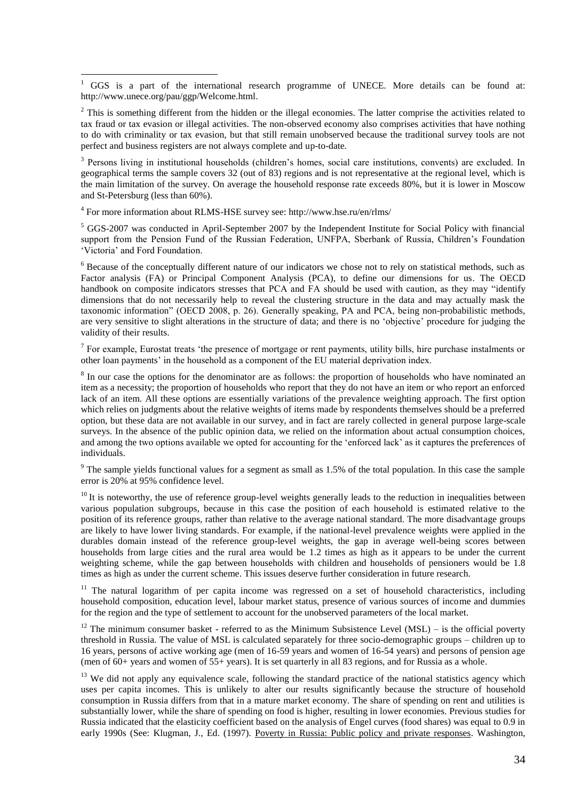$1$  GGS is a part of the international research programme of UNECE. More details can be found at: [http://www.unece.org/pau/ggp/Welcome.html.](http://www.unece.org/pau/ggp/Welcome.html)

 $2$  This is something different from the hidden or the illegal economies. The latter comprise the activities related to tax fraud or tax evasion or illegal activities. The non-observed economy also comprises activities that have nothing to do with criminality or tax evasion, but that still remain unobserved because the traditional survey tools are not perfect and business registers are not always complete and up-to-date.

<sup>3</sup> Persons living in institutional households (children's homes, social care institutions, convents) are excluded. In geographical terms the sample covers 32 (out of 83) regions and is not representative at the regional level, which is the main limitation of the survey. On average the household response rate exceeds 80%, but it is lower in Moscow and St-Petersburg (less than 60%).

<sup>4</sup> For more information about RLMS-HSE survey see: http://www.hse.ru/en/rlms/

<u>.</u>

<sup>5</sup> GGS-2007 was conducted in April-September 2007 by the Independent Institute for Social Policy with financial support from the Pension Fund of the Russian Federation, UNFPA, Sberbank of Russia, Children's Foundation 'Victoria' and Ford Foundation.

 $6$  Because of the conceptually different nature of our indicators we chose not to rely on statistical methods, such as Factor analysis (FA) or Principal Component Analysis (PCA), to define our dimensions for us. The OECD handbook on composite indicators stresses that PCA and FA should be used with caution, as they may "identify dimensions that do not necessarily help to reveal the clustering structure in the data and may actually mask the taxonomic information" (OECD 2008, p. 26). Generally speaking, PA and PCA, being non-probabilistic methods, are very sensitive to slight alterations in the structure of data; and there is no 'objective' procedure for judging the validity of their results.

 $<sup>7</sup>$  For example, Eurostat treats 'the presence of mortgage or rent payments, utility bills, hire purchase instalments or</sup> other loan payments' in the household as a component of the EU material deprivation index.

<sup>8</sup> In our case the options for the denominator are as follows: the proportion of households who have nominated an item as a necessity; the proportion of households who report that they do not have an item or who report an enforced lack of an item. All these options are essentially variations of the prevalence weighting approach. The first option which relies on judgments about the relative weights of items made by respondents themselves should be a preferred option, but these data are not available in our survey, and in fact are rarely collected in general purpose large-scale surveys. In the absence of the public opinion data, we relied on the information about actual consumption choices, and among the two options available we opted for accounting for the 'enforced lack' as it captures the preferences of individuals.

 $9$  The sample yields functional values for a segment as small as 1.5% of the total population. In this case the sample error is 20% at 95% confidence level.

 $10$  It is noteworthy, the use of reference group-level weights generally leads to the reduction in inequalities between various population subgroups, because in this case the position of each household is estimated relative to the position of its reference groups, rather than relative to the average national standard. The more disadvantage groups are likely to have lower living standards. For example, if the national-level prevalence weights were applied in the durables domain instead of the reference group-level weights, the gap in average well-being scores between households from large cities and the rural area would be 1.2 times as high as it appears to be under the current weighting scheme, while the gap between households with children and households of pensioners would be 1.8 times as high as under the current scheme. This issues deserve further consideration in future research.

<sup>11</sup> The natural logarithm of per capita income was regressed on a set of household characteristics, including household composition, education level, labour market status, presence of various sources of income and dummies for the region and the type of settlement to account for the unobserved parameters of the local market.

 $12$  The minimum consumer basket - referred to as the Minimum Subsistence Level (MSL) – is the official poverty threshold in Russia. The value of MSL is calculated separately for three socio-demographic groups – children up to 16 years, persons of active working age (men of 16-59 years and women of 16-54 years) and persons of pension age (men of  $60+$  years and women of  $55+$  years). It is set quarterly in all 83 regions, and for Russia as a whole.

 $13$  We did not apply any equivalence scale, following the standard practice of the national statistics agency which uses per capita incomes. This is unlikely to alter our results significantly because the structure of household consumption in Russia differs from that in a mature market economy. The share of spending on rent and utilities is substantially lower, while the share of spending on food is higher, resulting in lower economies. Previous studies for Russia indicated that the elasticity coefficient based on the analysis of Engel curves (food shares) was equal to 0.9 in early 1990s (See: Klugman, J., Ed. (1997). Poverty in Russia: Public policy and private responses. Washington,